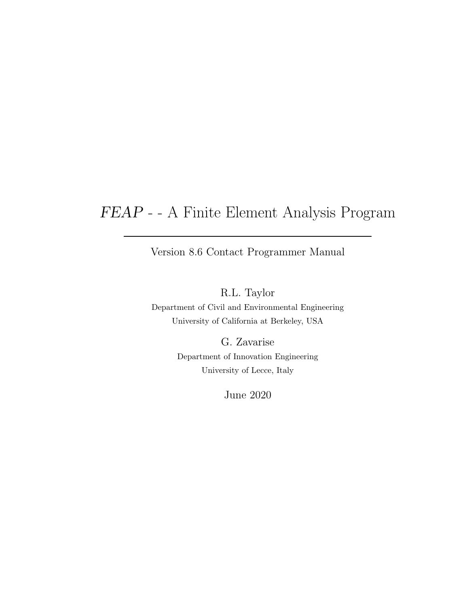## FEAP - - A Finite Element Analysis Program

Version 8.6 Contact Programmer Manual

R.L. Taylor

Department of Civil and Environmental Engineering University of California at Berkeley, USA

> G. Zavarise Department of Innovation Engineering University of Lecce, Italy

> > June 2020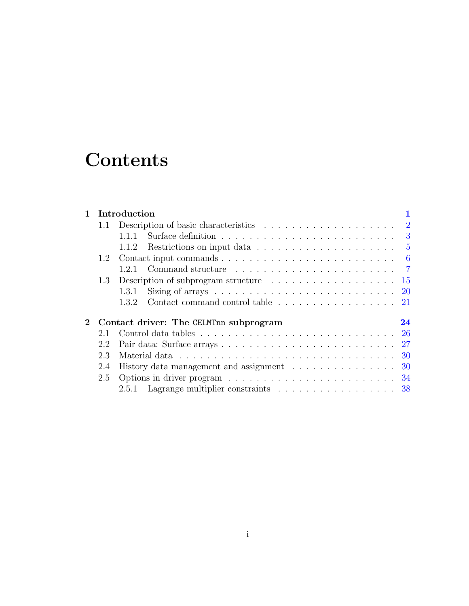# **Contents**

|         |     | 1 Introduction                                                                        |  |
|---------|-----|---------------------------------------------------------------------------------------|--|
|         |     |                                                                                       |  |
|         |     | Surface definition $\ldots \ldots \ldots \ldots \ldots \ldots \ldots \ldots$<br>1.1.1 |  |
|         |     | 1.1.2 Restrictions on input data $\ldots \ldots \ldots \ldots \ldots \ldots \ldots$   |  |
|         |     |                                                                                       |  |
|         |     | 1.2.1                                                                                 |  |
|         | 1.3 | Description of subprogram structure $\dots \dots \dots \dots \dots \dots \dots \dots$ |  |
|         |     | 1.3.1                                                                                 |  |
|         |     | Contact command control table 21<br>1.3.2                                             |  |
| $2^{-}$ |     | Contact driver: The CELMTnn subprogram<br>24                                          |  |
|         | 2.1 |                                                                                       |  |
|         | 2.2 |                                                                                       |  |
|         | 2.3 |                                                                                       |  |
|         | 2.4 | History data management and assignment 30                                             |  |
|         | 2.5 |                                                                                       |  |
|         |     | 2.5.1 Lagrange multiplier constraints 38                                              |  |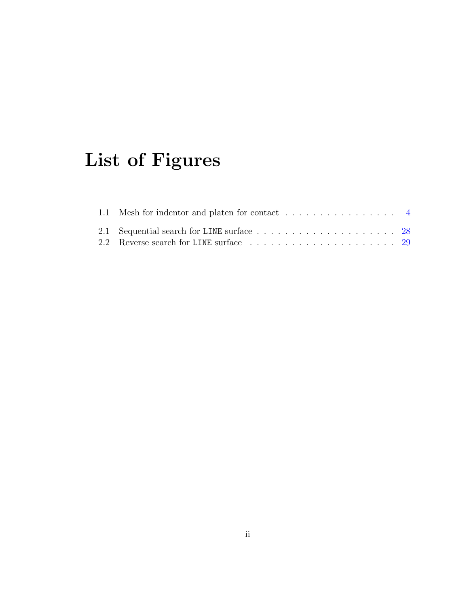# List of Figures

| 1.1 Mesh for indentor and platen for contact 4 |  |  |  |  |  |  |  |  |
|------------------------------------------------|--|--|--|--|--|--|--|--|
|                                                |  |  |  |  |  |  |  |  |
|                                                |  |  |  |  |  |  |  |  |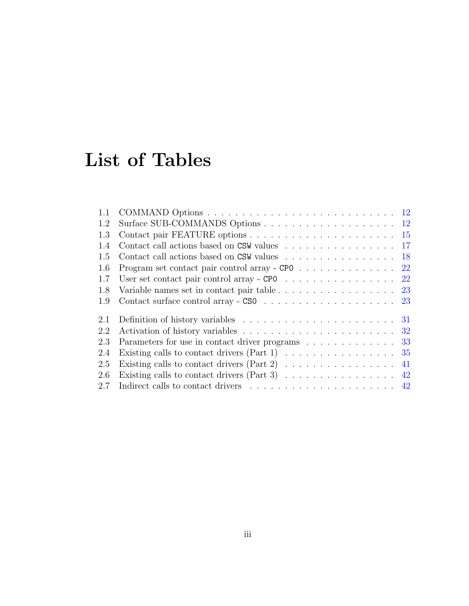# List of Tables

| Contact call actions based on CSW values 17                                                            |  |
|--------------------------------------------------------------------------------------------------------|--|
| Contact call actions based on CSW values 18                                                            |  |
| Program set contact pair control array - CPO 22                                                        |  |
| User set contact pair control array - CPO $\ldots \ldots \ldots \ldots \ldots$ 22                      |  |
| Variable names set in contact pair table 23                                                            |  |
|                                                                                                        |  |
|                                                                                                        |  |
|                                                                                                        |  |
| Parameters for use in contact driver programs 33                                                       |  |
| Existing calls to contact drivers (Part 1) $\ldots \ldots \ldots \ldots \ldots \ldots$ 35              |  |
| Existing calls to contact drivers (Part 2) $\ldots \ldots \ldots \ldots \ldots$ 41                     |  |
| Existing calls to contact drivers (Part 3) $\ldots \ldots \ldots \ldots \ldots$ 42                     |  |
| 2.7<br>Indirect calls to contact drivers $\dots \dots \dots \dots \dots \dots \dots \dots \dots \dots$ |  |
|                                                                                                        |  |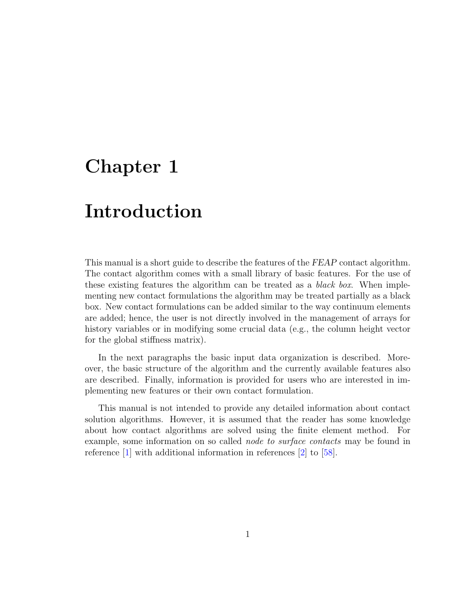## <span id="page-4-0"></span>Chapter 1

## Introduction

This manual is a short guide to describe the features of the FEAP contact algorithm. The contact algorithm comes with a small library of basic features. For the use of these existing features the algorithm can be treated as a *black box*. When implementing new contact formulations the algorithm may be treated partially as a black box. New contact formulations can be added similar to the way continuum elements are added; hence, the user is not directly involved in the management of arrays for history variables or in modifying some crucial data (e.g., the column height vector for the global stiffness matrix).

In the next paragraphs the basic input data organization is described. Moreover, the basic structure of the algorithm and the currently available features also are described. Finally, information is provided for users who are interested in implementing new features or their own contact formulation.

This manual is not intended to provide any detailed information about contact solution algorithms. However, it is assumed that the reader has some knowledge about how contact algorithms are solved using the finite element method. For example, some information on so called node to surface contacts may be found in reference [\[1\]](#page-46-0) with additional information in references [\[2\]](#page-46-1) to [\[58\]](#page-51-0).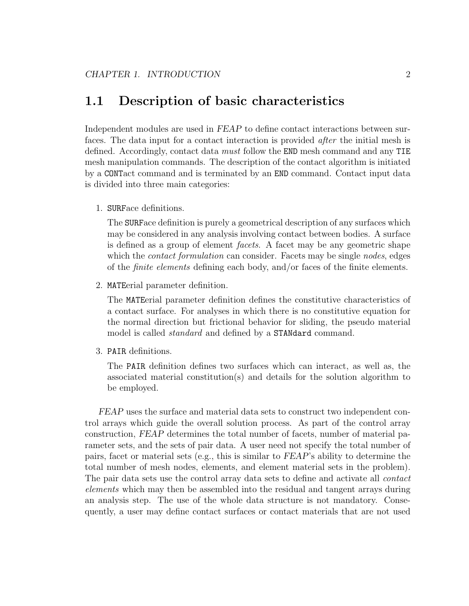## <span id="page-5-0"></span>1.1 Description of basic characteristics

Independent modules are used in FEAP to define contact interactions between surfaces. The data input for a contact interaction is provided after the initial mesh is defined. Accordingly, contact data *must* follow the END mesh command and any TIE mesh manipulation commands. The description of the contact algorithm is initiated by a CONTact command and is terminated by an END command. Contact input data is divided into three main categories:

1. SURFace definitions.

The SURFace definition is purely a geometrical description of any surfaces which may be considered in any analysis involving contact between bodies. A surface is defined as a group of element facets. A facet may be any geometric shape which the *contact formulation* can consider. Facets may be single *nodes*, edges of the finite elements defining each body, and/or faces of the finite elements.

2. MATEerial parameter definition.

The MATEerial parameter definition defines the constitutive characteristics of a contact surface. For analyses in which there is no constitutive equation for the normal direction but frictional behavior for sliding, the pseudo material model is called *standard* and defined by a **STANdard** command.

3. PAIR definitions.

The PAIR definition defines two surfaces which can interact, as well as, the associated material constitution(s) and details for the solution algorithm to be employed.

FEAP uses the surface and material data sets to construct two independent control arrays which guide the overall solution process. As part of the control array construction, FEAP determines the total number of facets, number of material parameter sets, and the sets of pair data. A user need not specify the total number of pairs, facet or material sets (e.g., this is similar to FEAP's ability to determine the total number of mesh nodes, elements, and element material sets in the problem). The pair data sets use the control array data sets to define and activate all contact elements which may then be assembled into the residual and tangent arrays during an analysis step. The use of the whole data structure is not mandatory. Consequently, a user may define contact surfaces or contact materials that are not used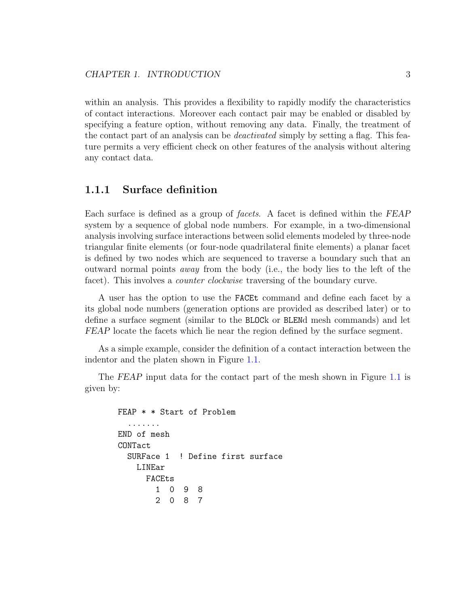within an analysis. This provides a flexibility to rapidly modify the characteristics of contact interactions. Moreover each contact pair may be enabled or disabled by specifying a feature option, without removing any data. Finally, the treatment of the contact part of an analysis can be *deactivated* simply by setting a flag. This feature permits a very efficient check on other features of the analysis without altering any contact data.

#### <span id="page-6-0"></span>1.1.1 Surface definition

Each surface is defined as a group of *facets*. A facet is defined within the FEAP system by a sequence of global node numbers. For example, in a two-dimensional analysis involving surface interactions between solid elements modeled by three-node triangular finite elements (or four-node quadrilateral finite elements) a planar facet is defined by two nodes which are sequenced to traverse a boundary such that an outward normal points away from the body (i.e., the body lies to the left of the facet). This involves a *counter clockwise* traversing of the boundary curve.

A user has the option to use the FACEt command and define each facet by a its global node numbers (generation options are provided as described later) or to define a surface segment (similar to the BLOCk or BLENd mesh commands) and let FEAP locate the facets which lie near the region defined by the surface segment.

As a simple example, consider the definition of a contact interaction between the indentor and the platen shown in Figure [1.1.](#page-7-0)

The FEAP input data for the contact part of the mesh shown in Figure [1.1](#page-7-0) is given by:

```
FEAP * * Start of Problem
  .......
END of mesh
CONTact
 SURFace 1 ! Define first surface
   LINEar
     FACEts
       1 0 9 8
       2 0 8 7
```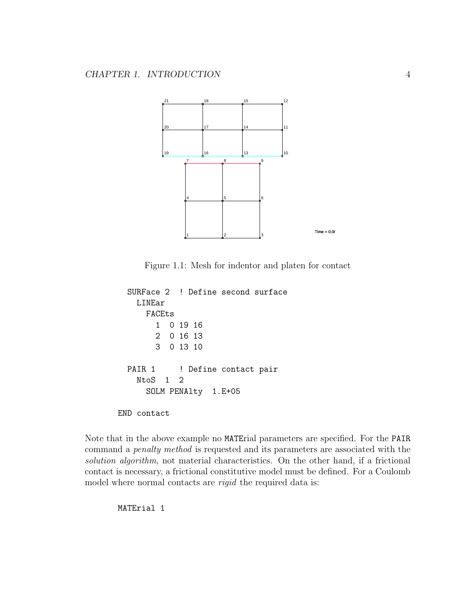

<span id="page-7-0"></span>Figure 1.1: Mesh for indentor and platen for contact

```
SURFace 2 ! Define second surface
   LINEar
     FACEts
       1 0 19 16
       2 0 16 13
       3 0 13 10
 PAIR 1 ! Define contact pair
   NtoS 1 2
     SOLM PENAlty 1.E+05
END contact
```
Note that in the above example no MATErial parameters are specified. For the PAIR command a penalty method is requested and its parameters are associated with the solution algorithm, not material characteristics. On the other hand, if a frictional contact is necessary, a frictional constitutive model must be defined. For a Coulomb model where normal contacts are *rigid* the required data is:

MATErial 1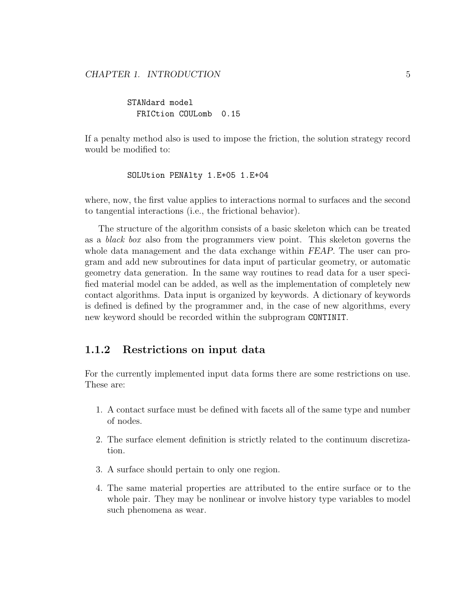STANdard model FRICtion COULomb 0.15

If a penalty method also is used to impose the friction, the solution strategy record would be modified to:

SOLUtion PENAlty 1.E+05 1.E+04

where, now, the first value applies to interactions normal to surfaces and the second to tangential interactions (i.e., the frictional behavior).

The structure of the algorithm consists of a basic skeleton which can be treated as a black box also from the programmers view point. This skeleton governs the whole data management and the data exchange within FEAP. The user can program and add new subroutines for data input of particular geometry, or automatic geometry data generation. In the same way routines to read data for a user specified material model can be added, as well as the implementation of completely new contact algorithms. Data input is organized by keywords. A dictionary of keywords is defined is defined by the programmer and, in the case of new algorithms, every new keyword should be recorded within the subprogram CONTINIT.

#### <span id="page-8-0"></span>1.1.2 Restrictions on input data

For the currently implemented input data forms there are some restrictions on use. These are:

- 1. A contact surface must be defined with facets all of the same type and number of nodes.
- 2. The surface element definition is strictly related to the continuum discretization.
- 3. A surface should pertain to only one region.
- 4. The same material properties are attributed to the entire surface or to the whole pair. They may be nonlinear or involve history type variables to model such phenomena as wear.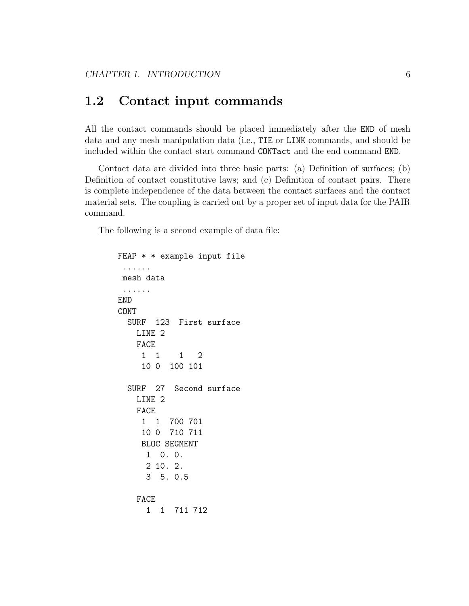### <span id="page-9-0"></span>1.2 Contact input commands

All the contact commands should be placed immediately after the END of mesh data and any mesh manipulation data (i.e., TIE or LINK commands, and should be included within the contact start command CONTact and the end command END.

Contact data are divided into three basic parts: (a) Definition of surfaces; (b) Definition of contact constitutive laws; and (c) Definition of contact pairs. There is complete independence of the data between the contact surfaces and the contact material sets. The coupling is carried out by a proper set of input data for the PAIR command.

The following is a second example of data file:

```
FEAP * * example input file
 ......
mesh data
 ......
END
CONT
 SURF 123 First surface
   LINE 2
   FACE
     1 1 1 2
    10 0 100 101
 SURF 27 Second surface
   LINE 2
   FACE
    1 1 700 701
    10 0 710 711
    BLOC SEGMENT
     1 0. 0.
     2 10. 2.
     3 5. 0.5
   FACE
     1 1 711 712
```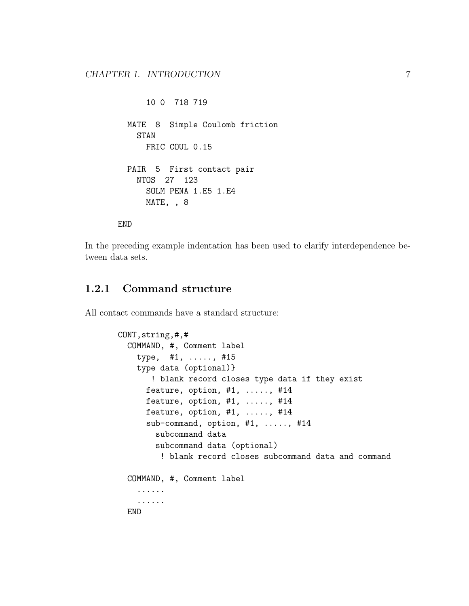```
10 0 718 719
MATE 8 Simple Coulomb friction
  STAN
    FRIC COUL 0.15
PAIR 5 First contact pair
  NTOS 27 123
    SOLM PENA 1.E5 1.E4
   MATE, , 8
```
END

In the preceding example indentation has been used to clarify interdependence between data sets.

#### <span id="page-10-0"></span>1.2.1 Command structure

All contact commands have a standard structure:

```
CONT,string,#,#
 COMMAND, #, Comment label
    type, #1, ....., #15
   type data (optional)}
       ! blank record closes type data if they exist
      feature, option, #1, ....., #14
      feature, option, #1, ...., #14feature, option, #1, ....., #14
      sub-command, option, #1, ....., #14
        subcommand data
        subcommand data (optional)
         ! blank record closes subcommand data and command
 COMMAND, #, Comment label
    ......
    ......
 END
```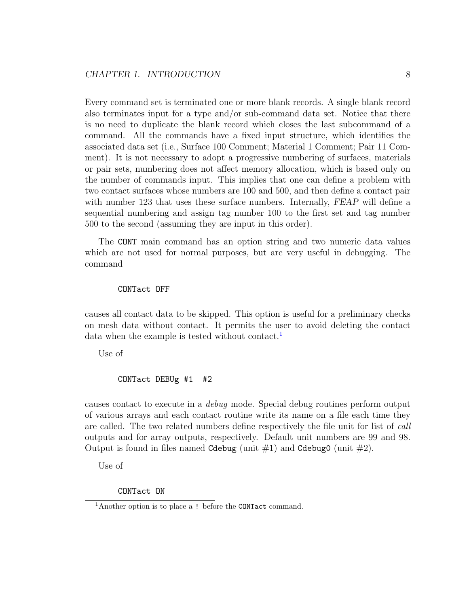Every command set is terminated one or more blank records. A single blank record also terminates input for a type and/or sub-command data set. Notice that there is no need to duplicate the blank record which closes the last subcommand of a command. All the commands have a fixed input structure, which identifies the associated data set (i.e., Surface 100 Comment; Material 1 Comment; Pair 11 Comment). It is not necessary to adopt a progressive numbering of surfaces, materials or pair sets, numbering does not affect memory allocation, which is based only on the number of commands input. This implies that one can define a problem with two contact surfaces whose numbers are 100 and 500, and then define a contact pair with number 123 that uses these surface numbers. Internally, FEAP will define a sequential numbering and assign tag number 100 to the first set and tag number 500 to the second (assuming they are input in this order).

The CONT main command has an option string and two numeric data values which are not used for normal purposes, but are very useful in debugging. The command

#### CONTact OFF

causes all contact data to be skipped. This option is useful for a preliminary checks on mesh data without contact. It permits the user to avoid deleting the contact data when the example is tested without contact.<sup>[1](#page-11-0)</sup>

Use of

```
CONTact DEBUg #1 #2
```
causes contact to execute in a debug mode. Special debug routines perform output of various arrays and each contact routine write its name on a file each time they are called. The two related numbers define respectively the file unit for list of call outputs and for array outputs, respectively. Default unit numbers are 99 and 98. Output is found in files named Cdebug (unit  $\#1$ ) and Cdebug0 (unit  $\#2$ ).

Use of

CONTact ON

<span id="page-11-0"></span><sup>&</sup>lt;sup>1</sup>Another option is to place a ! before the CONTact command.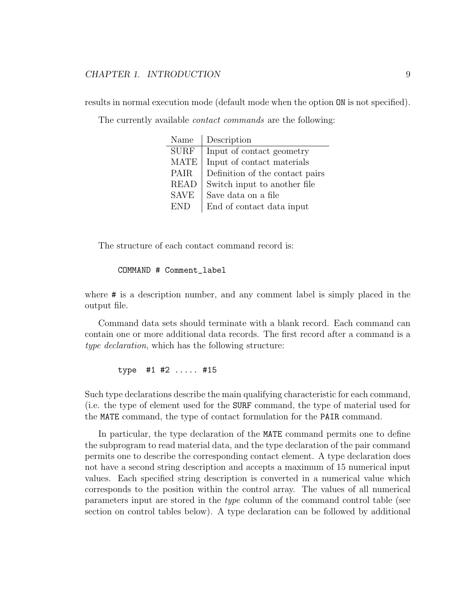#### CHAPTER 1. INTRODUCTION 9

results in normal execution mode (default mode when the option ON is not specified).

The currently available *contact commands* are the following:

| Name        | Description                     |
|-------------|---------------------------------|
| <b>SURF</b> | Input of contact geometry       |
| <b>MATE</b> | Input of contact materials      |
| <b>PAIR</b> | Definition of the contact pairs |
| <b>READ</b> | Switch input to another file    |
| <b>SAVE</b> | Save data on a file             |
| END.        | End of contact data input       |

The structure of each contact command record is:

#### COMMAND # Comment\_label

where # is a description number, and any comment label is simply placed in the output file.

Command data sets should terminate with a blank record. Each command can contain one or more additional data records. The first record after a command is a type declaration, which has the following structure:

type #1 #2 ..... #15

Such type declarations describe the main qualifying characteristic for each command, (i.e. the type of element used for the SURF command, the type of material used for the MATE command, the type of contact formulation for the PAIR command.

In particular, the type declaration of the MATE command permits one to define the subprogram to read material data, and the type declaration of the pair command permits one to describe the corresponding contact element. A type declaration does not have a second string description and accepts a maximum of 15 numerical input values. Each specified string description is converted in a numerical value which corresponds to the position within the control array. The values of all numerical parameters input are stored in the type column of the command control table (see section on control tables below). A type declaration can be followed by additional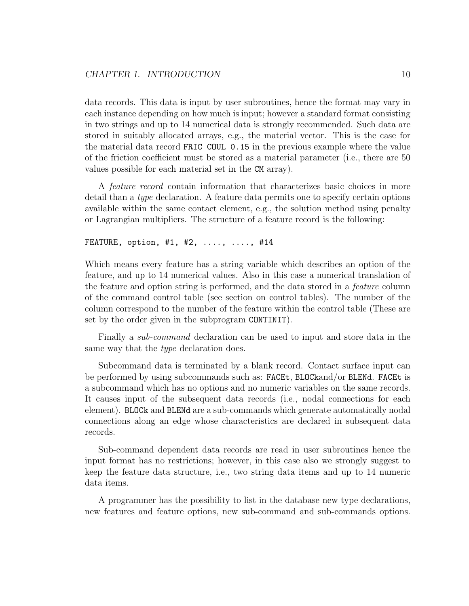data records. This data is input by user subroutines, hence the format may vary in each instance depending on how much is input; however a standard format consisting in two strings and up to 14 numerical data is strongly recommended. Such data are stored in suitably allocated arrays, e.g., the material vector. This is the case for the material data record FRIC COUL 0.15 in the previous example where the value of the friction coefficient must be stored as a material parameter (i.e., there are 50 values possible for each material set in the CM array).

A feature record contain information that characterizes basic choices in more detail than a type declaration. A feature data permits one to specify certain options available within the same contact element, e.g., the solution method using penalty or Lagrangian multipliers. The structure of a feature record is the following:

FEATURE, option, #1, #2, ...., ...., #14

Which means every feature has a string variable which describes an option of the feature, and up to 14 numerical values. Also in this case a numerical translation of the feature and option string is performed, and the data stored in a feature column of the command control table (see section on control tables). The number of the column correspond to the number of the feature within the control table (These are set by the order given in the subprogram CONTINIT).

Finally a sub-command declaration can be used to input and store data in the same way that the *type* declaration does.

Subcommand data is terminated by a blank record. Contact surface input can be performed by using subcommands such as: FACEt, BLOCkand/or BLENd. FACEt is a subcommand which has no options and no numeric variables on the same records. It causes input of the subsequent data records (i.e., nodal connections for each element). BLOCk and BLENd are a sub-commands which generate automatically nodal connections along an edge whose characteristics are declared in subsequent data records.

Sub-command dependent data records are read in user subroutines hence the input format has no restrictions; however, in this case also we strongly suggest to keep the feature data structure, i.e., two string data items and up to 14 numeric data items.

A programmer has the possibility to list in the database new type declarations, new features and feature options, new sub-command and sub-commands options.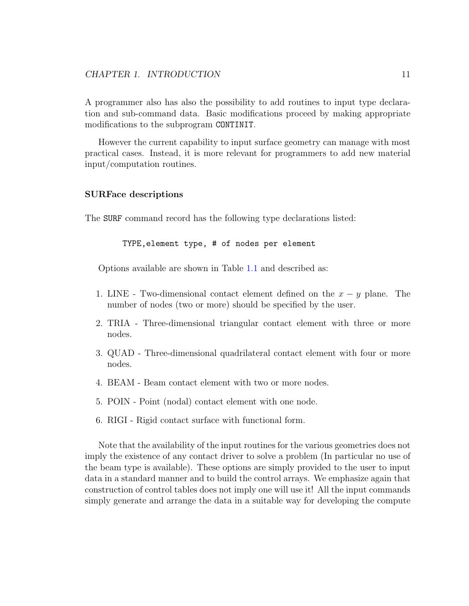A programmer also has also the possibility to add routines to input type declaration and sub-command data. Basic modifications proceed by making appropriate modifications to the subprogram CONTINIT.

However the current capability to input surface geometry can manage with most practical cases. Instead, it is more relevant for programmers to add new material input/computation routines.

#### SURFace descriptions

The SURF command record has the following type declarations listed:

TYPE,element type, # of nodes per element

Options available are shown in Table [1.1](#page-15-0) and described as:

- 1. LINE Two-dimensional contact element defined on the  $x y$  plane. The number of nodes (two or more) should be specified by the user.
- 2. TRIA Three-dimensional triangular contact element with three or more nodes.
- 3. QUAD Three-dimensional quadrilateral contact element with four or more nodes.
- 4. BEAM Beam contact element with two or more nodes.
- 5. POIN Point (nodal) contact element with one node.
- 6. RIGI Rigid contact surface with functional form.

Note that the availability of the input routines for the various geometries does not imply the existence of any contact driver to solve a problem (In particular no use of the beam type is available). These options are simply provided to the user to input data in a standard manner and to build the control arrays. We emphasize again that construction of control tables does not imply one will use it! All the input commands simply generate and arrange the data in a suitable way for developing the compute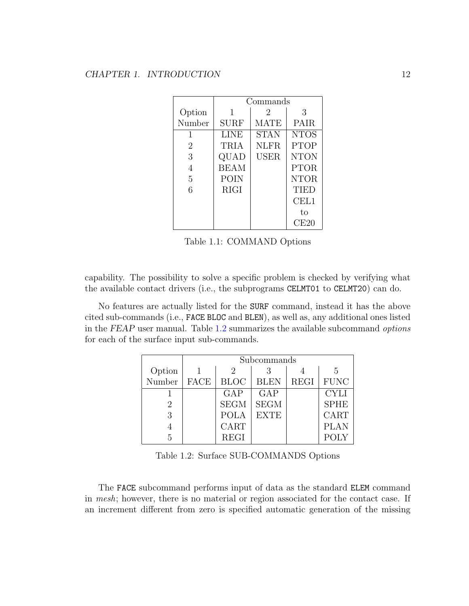|                | Commands    |             |                 |  |  |  |  |
|----------------|-------------|-------------|-----------------|--|--|--|--|
| Option         | 1           | 2           | 3               |  |  |  |  |
| Number         | SURF        | <b>MATE</b> | <b>PAIR</b>     |  |  |  |  |
| 1              | LINE        | <b>STAN</b> | <b>NTOS</b>     |  |  |  |  |
| $\overline{2}$ | TRIA        | <b>NLFR</b> | <b>PTOP</b>     |  |  |  |  |
| 3              | QUAD        | <b>USER</b> | <b>NTON</b>     |  |  |  |  |
| 4              | <b>BEAM</b> |             | <b>PTOR</b>     |  |  |  |  |
| 5              | POIN        |             | <b>NTOR</b>     |  |  |  |  |
| 6              | <b>RIGI</b> |             | <b>TIED</b>     |  |  |  |  |
|                |             |             | $\mathrm{CEL1}$ |  |  |  |  |
|                |             |             | to              |  |  |  |  |
|                |             |             | CE20            |  |  |  |  |

<span id="page-15-0"></span>Table 1.1: COMMAND Options

capability. The possibility to solve a specific problem is checked by verifying what the available contact drivers (i.e., the subprograms CELMT01 to CELMT20) can do.

No features are actually listed for the SURF command, instead it has the above cited sub-commands (i.e., FACE BLOC and BLEN), as well as, any additional ones listed in the FEAP user manual. Table [1.2](#page-15-1) summarizes the available subcommand options for each of the surface input sub-commands.

|        | Subcommands |             |             |             |                |  |  |  |  |  |  |
|--------|-------------|-------------|-------------|-------------|----------------|--|--|--|--|--|--|
| Option |             | 2           |             |             | $\overline{5}$ |  |  |  |  |  |  |
| Number | <b>FACE</b> | <b>BLOC</b> | <b>BLEN</b> | <b>REGI</b> | <b>FUNC</b>    |  |  |  |  |  |  |
|        |             | GAP         | GAP         |             | <b>CYLI</b>    |  |  |  |  |  |  |
| 2      |             | <b>SEGM</b> | <b>SEGM</b> |             | <b>SPHE</b>    |  |  |  |  |  |  |
| 3      |             | <b>POLA</b> | EXTE        |             | CART           |  |  |  |  |  |  |
|        |             | CART        |             |             | <b>PLAN</b>    |  |  |  |  |  |  |
| 5      |             | <b>REGI</b> |             |             | <b>POLY</b>    |  |  |  |  |  |  |

<span id="page-15-1"></span>Table 1.2: Surface SUB-COMMANDS Options

The FACE subcommand performs input of data as the standard ELEM command in mesh; however, there is no material or region associated for the contact case. If an increment different from zero is specified automatic generation of the missing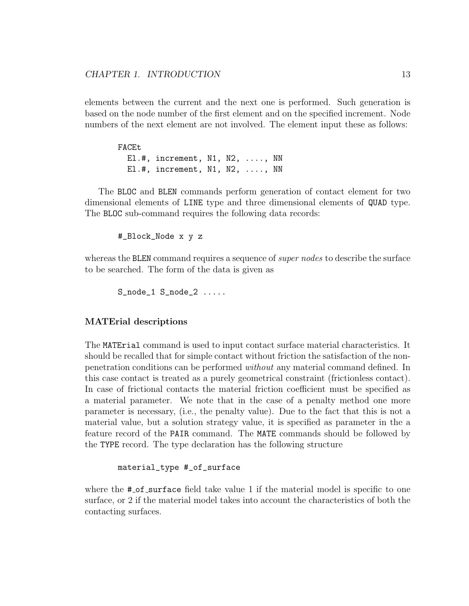elements between the current and the next one is performed. Such generation is based on the node number of the first element and on the specified increment. Node numbers of the next element are not involved. The element input these as follows:

| FACEt |                                  |  |  |
|-------|----------------------------------|--|--|
|       | $E1.$ #, increment, N1, N2, , NN |  |  |
|       | $E1.$ #, increment, N1, N2, , NN |  |  |

The BLOC and BLEN commands perform generation of contact element for two dimensional elements of LINE type and three dimensional elements of QUAD type. The BLOC sub-command requires the following data records:

#\_Block\_Node x y z

whereas the BLEN command requires a sequence of *super nodes* to describe the surface to be searched. The form of the data is given as

S\_node\_1 S\_node\_2 .....

#### MATErial descriptions

The MATErial command is used to input contact surface material characteristics. It should be recalled that for simple contact without friction the satisfaction of the nonpenetration conditions can be performed without any material command defined. In this case contact is treated as a purely geometrical constraint (frictionless contact). In case of frictional contacts the material friction coefficient must be specified as a material parameter. We note that in the case of a penalty method one more parameter is necessary, (i.e., the penalty value). Due to the fact that this is not a material value, but a solution strategy value, it is specified as parameter in the a feature record of the PAIR command. The MATE commands should be followed by the TYPE record. The type declaration has the following structure

material\_type #\_of\_surface

where the  $\#$ -of-surface field take value 1 if the material model is specific to one surface, or 2 if the material model takes into account the characteristics of both the contacting surfaces.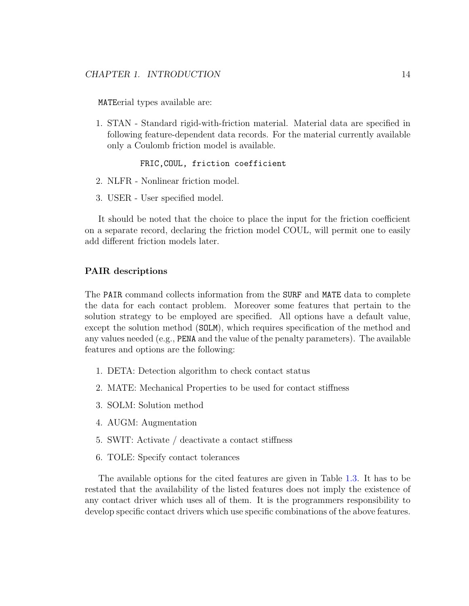MATEerial types available are:

1. STAN - Standard rigid-with-friction material. Material data are specified in following feature-dependent data records. For the material currently available only a Coulomb friction model is available.

#### FRIC,COUL, friction coefficient

- 2. NLFR Nonlinear friction model.
- 3. USER User specified model.

It should be noted that the choice to place the input for the friction coefficient on a separate record, declaring the friction model COUL, will permit one to easily add different friction models later.

#### PAIR descriptions

The PAIR command collects information from the SURF and MATE data to complete the data for each contact problem. Moreover some features that pertain to the solution strategy to be employed are specified. All options have a default value, except the solution method (SOLM), which requires specification of the method and any values needed (e.g., PENA and the value of the penalty parameters). The available features and options are the following:

- 1. DETA: Detection algorithm to check contact status
- 2. MATE: Mechanical Properties to be used for contact stiffness
- 3. SOLM: Solution method
- 4. AUGM: Augmentation
- 5. SWIT: Activate / deactivate a contact stiffness
- 6. TOLE: Specify contact tolerances

The available options for the cited features are given in Table [1.3.](#page-18-1) It has to be restated that the availability of the listed features does not imply the existence of any contact driver which uses all of them. It is the programmers responsibility to develop specific contact drivers which use specific combinations of the above features.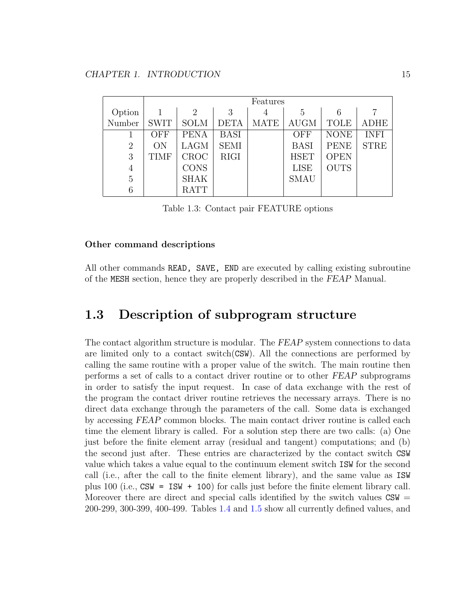|                |             | Features       |             |             |             |             |             |  |  |  |  |
|----------------|-------------|----------------|-------------|-------------|-------------|-------------|-------------|--|--|--|--|
| Option         |             | $\overline{2}$ | 3           | 4           | 5           |             |             |  |  |  |  |
| Number         | <b>SWIT</b> | <b>SOLM</b>    | <b>DETA</b> | <b>MATE</b> | <b>AUGM</b> | TOLE        | <b>ADHE</b> |  |  |  |  |
|                | <b>OFF</b>  | <b>PENA</b>    | <b>BASI</b> |             | OFF         | <b>NONE</b> | <b>INFI</b> |  |  |  |  |
| $\overline{2}$ | ON          | <b>LAGM</b>    | <b>SEMI</b> |             | <b>BASI</b> | <b>PENE</b> | <b>STRE</b> |  |  |  |  |
| 3              | <b>TIMF</b> | <b>CROC</b>    | <b>RIGI</b> |             | <b>HSET</b> | <b>OPEN</b> |             |  |  |  |  |
| $\overline{4}$ |             | <b>CONS</b>    |             |             | <b>LISE</b> | <b>OUTS</b> |             |  |  |  |  |
| 5              |             | <b>SHAK</b>    |             |             | <b>SMAU</b> |             |             |  |  |  |  |
| 6              |             | <b>RATT</b>    |             |             |             |             |             |  |  |  |  |

<span id="page-18-1"></span>Table 1.3: Contact pair FEATURE options

#### Other command descriptions

All other commands READ, SAVE, END are executed by calling existing subroutine of the MESH section, hence they are properly described in the FEAP Manual.

### <span id="page-18-0"></span>1.3 Description of subprogram structure

The contact algorithm structure is modular. The FEAP system connections to data are limited only to a contact switch(CSW). All the connections are performed by calling the same routine with a proper value of the switch. The main routine then performs a set of calls to a contact driver routine or to other FEAP subprograms in order to satisfy the input request. In case of data exchange with the rest of the program the contact driver routine retrieves the necessary arrays. There is no direct data exchange through the parameters of the call. Some data is exchanged by accessing FEAP common blocks. The main contact driver routine is called each time the element library is called. For a solution step there are two calls: (a) One just before the finite element array (residual and tangent) computations; and (b) the second just after. These entries are characterized by the contact switch CSW value which takes a value equal to the continuum element switch ISW for the second call (i.e., after the call to the finite element library), and the same value as ISW plus 100 (i.e., CSW = ISW + 100) for calls just before the finite element library call. Moreover there are direct and special calls identified by the switch values  $CSW =$ 200-299, 300-399, 400-499. Tables [1.4](#page-20-0) and [1.5](#page-21-0) show all currently defined values, and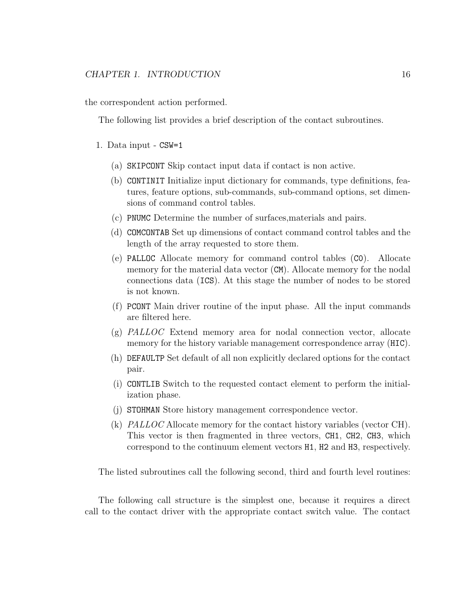the correspondent action performed.

The following list provides a brief description of the contact subroutines.

- 1. Data input CSW=1
	- (a) SKIPCONT Skip contact input data if contact is non active.
	- (b) CONTINIT Initialize input dictionary for commands, type definitions, features, feature options, sub-commands, sub-command options, set dimensions of command control tables.
	- (c) PNUMC Determine the number of surfaces,materials and pairs.
	- (d) COMCONTAB Set up dimensions of contact command control tables and the length of the array requested to store them.
	- (e) PALLOC Allocate memory for command control tables (C0). Allocate memory for the material data vector (CM). Allocate memory for the nodal connections data (ICS). At this stage the number of nodes to be stored is not known.
	- (f) PCONT Main driver routine of the input phase. All the input commands are filtered here.
	- (g) PALLOC Extend memory area for nodal connection vector, allocate memory for the history variable management correspondence array (HIC).
	- (h) DEFAULTP Set default of all non explicitly declared options for the contact pair.
	- (i) CONTLIB Switch to the requested contact element to perform the initialization phase.
	- (j) STOHMAN Store history management correspondence vector.
	- (k) PALLOC Allocate memory for the contact history variables (vector CH). This vector is then fragmented in three vectors, CH1, CH2, CH3, which correspond to the continuum element vectors H1, H2 and H3, respectively.

The listed subroutines call the following second, third and fourth level routines:

The following call structure is the simplest one, because it requires a direct call to the contact driver with the appropriate contact switch value. The contact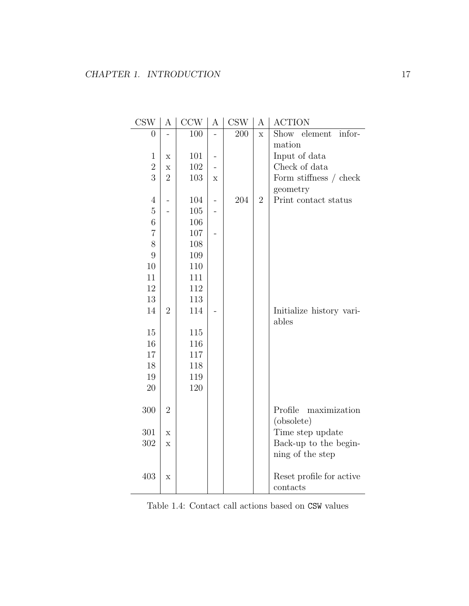| $\overline{0}$ |                | 100 |                          | 200 | $\mathbf X$    | Show element<br>infor-   |
|----------------|----------------|-----|--------------------------|-----|----------------|--------------------------|
|                |                |     |                          |     |                | mation                   |
| $\mathbf{1}$   | X              | 101 |                          |     |                | Input of data            |
| $\overline{2}$ | X              | 102 |                          |     |                | Check of data            |
| 3              | $\overline{2}$ | 103 | $\mathbf X$              |     |                | Form stiffness / check   |
|                |                |     |                          |     |                | geometry                 |
| $\overline{4}$ |                | 104 | $\overline{\phantom{0}}$ | 204 | $\overline{2}$ | Print contact status     |
| $\overline{5}$ |                | 105 |                          |     |                |                          |
| $\,6\,$        |                | 106 |                          |     |                |                          |
| $\overline{7}$ |                | 107 |                          |     |                |                          |
| 8              |                | 108 |                          |     |                |                          |
| 9              |                | 109 |                          |     |                |                          |
| 10             |                | 110 |                          |     |                |                          |
| 11             |                | 111 |                          |     |                |                          |
| 12             |                | 112 |                          |     |                |                          |
| 13             |                | 113 |                          |     |                |                          |
| 14             | $\overline{2}$ | 114 |                          |     |                | Initialize history vari- |
|                |                |     |                          |     |                | ables                    |
| 15             |                | 115 |                          |     |                |                          |
| 16             |                | 116 |                          |     |                |                          |
| 17             |                | 117 |                          |     |                |                          |
| 18             |                | 118 |                          |     |                |                          |
| 19             |                | 119 |                          |     |                |                          |
| 20             |                | 120 |                          |     |                |                          |
|                |                |     |                          |     |                |                          |
| 300            | $\overline{2}$ |     |                          |     |                | Profile<br>maximization  |
|                |                |     |                          |     |                | (obsolete)               |
| 301            | X              |     |                          |     |                | Time step update         |
| 302            | X              |     |                          |     |                | Back-up to the begin-    |
|                |                |     |                          |     |                | ning of the step         |
|                |                |     |                          |     |                |                          |
| 403            | X              |     |                          |     |                | Reset profile for active |
|                |                |     |                          |     |                | contacts                 |

 $\text{CSW} \mid \text{A} \mid \text{CCW} \mid \text{A} \mid \text{CSW} \mid \text{A} \mid \text{ACTION}$ 

<span id="page-20-0"></span>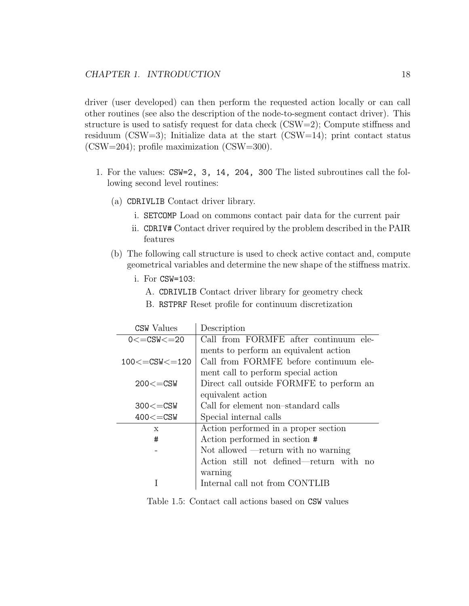driver (user developed) can then perform the requested action locally or can call other routines (see also the description of the node-to-segment contact driver). This structure is used to satisfy request for data check  $(CSW=2)$ ; Compute stiffness and residuum (CSW=3); Initialize data at the start (CSW=14); print contact status (CSW=204); profile maximization (CSW=300).

- 1. For the values: CSW=2, 3, 14, 204, 300 The listed subroutines call the following second level routines:
	- (a) CDRIVLIB Contact driver library.
		- i. SETCOMP Load on commons contact pair data for the current pair
		- ii. CDRIV# Contact driver required by the problem described in the PAIR features
	- (b) The following call structure is used to check active contact and, compute geometrical variables and determine the new shape of the stiffness matrix.
		- i. For CSW=103:
			- A. CDRIVLIB Contact driver library for geometry check
			- B. RSTPRF Reset profile for continuum discretization

| <b>CSW</b> Values       | Description                              |
|-------------------------|------------------------------------------|
| $0 \leq CSW \leq 20$    | Call from FORMFE after continuum ele-    |
|                         | ments to perform an equivalent action    |
| $100 \leq CSW \leq 120$ | Call from FORMFE before continuum ele-   |
|                         | ment call to perform special action      |
| $200 \leq CSW$          | Direct call outside FORMFE to perform an |
|                         | equivalent action                        |
| $300 \leq CSW$          | Call for element non-standard calls      |
| $400\leq$ =CSW          | Special internal calls                   |
| $\mathbf{x}$            | Action performed in a proper section     |
| #                       | Action performed in section #            |
|                         | Not allowed $-$ return with no warning   |
|                         | Action still not defined—return with no  |
|                         | warning                                  |
|                         | Internal call not from CONTLIB           |

<span id="page-21-0"></span>Table 1.5: Contact call actions based on CSW values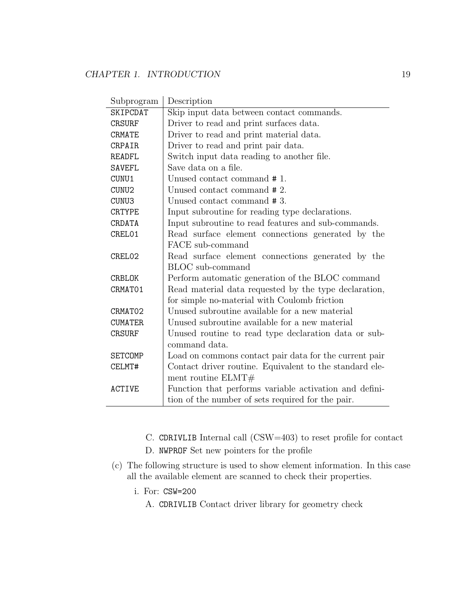| Subprogram      | Description                                             |
|-----------------|---------------------------------------------------------|
| <b>SKIPCDAT</b> | Skip input data between contact commands.               |
| <b>CRSURF</b>   | Driver to read and print surfaces data.                 |
| <b>CRMATE</b>   | Driver to read and print material data.                 |
| <b>CRPAIR</b>   | Driver to read and print pair data.                     |
| <b>READFL</b>   | Switch input data reading to another file.              |
| <b>SAVEFL</b>   | Save data on a file.                                    |
| CUNU1           | Unused contact command #1.                              |
| CUNU2           | Unused contact command #2.                              |
| CUNU3           | Unused contact command #3.                              |
| <b>CRTYPE</b>   | Input subroutine for reading type declarations.         |
| CRDATA          | Input subroutine to read features and sub-commands.     |
| CREL01          | Read surface element connections generated by the       |
|                 | FACE sub-command                                        |
| CREL02          | Read surface element connections generated by the       |
|                 | BLOC sub-command                                        |
| CRBLOK          | Perform automatic generation of the BLOC command        |
| CRMAT01         | Read material data requested by the type declaration,   |
|                 | for simple no-material with Coulomb friction            |
| CRMAT02         | Unused subroutine available for a new material          |
| <b>CUMATER</b>  | Unused subroutine available for a new material          |
| <b>CRSURF</b>   | Unused routine to read type declaration data or sub-    |
|                 | command data.                                           |
| <b>SETCOMP</b>  | Load on commons contact pair data for the current pair  |
| CELMT#          | Contact driver routine. Equivalent to the standard ele- |
|                 | ment routine $ELMT#$                                    |
| <b>ACTIVE</b>   | Function that performs variable activation and defini-  |
|                 | tion of the number of sets required for the pair.       |

- C. CDRIVLIB Internal call (CSW=403) to reset profile for contact
- D. NWPROF Set new pointers for the profile
- (c) The following structure is used to show element information. In this case all the available element are scanned to check their properties.
	- i. For: CSW=200
		- A. CDRIVLIB Contact driver library for geometry check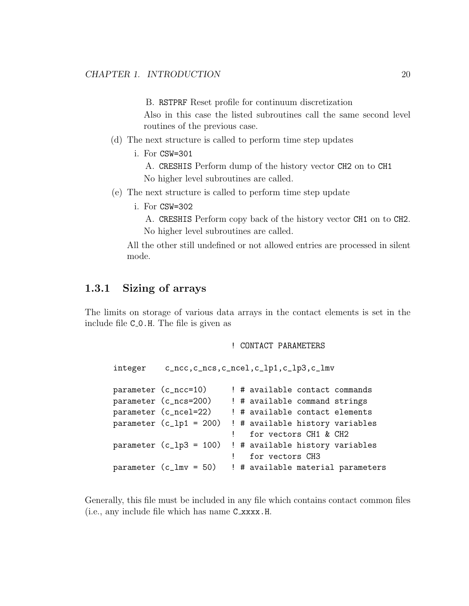B. RSTPRF Reset profile for continuum discretization

Also in this case the listed subroutines call the same second level routines of the previous case.

- (d) The next structure is called to perform time step updates
	- i. For CSW=301

A. CRESHIS Perform dump of the history vector CH2 on to CH1 No higher level subroutines are called.

- (e) The next structure is called to perform time step update
	- i. For CSW=302

A. CRESHIS Perform copy back of the history vector CH1 on to CH2. No higher level subroutines are called.

All the other still undefined or not allowed entries are processed in silent mode.

#### <span id="page-23-0"></span>1.3.1 Sizing of arrays

The limits on storage of various data arrays in the contact elements is set in the include file  $C_0$ .H. The file is given as

! CONTACT PARAMETERS

```
integer c_ncc,c_ncs,c_ncel,c_lp1,c_lp3,c_lmv
parameter (c_ncc=10) ! # available contact commands
parameter (c_ncs=200) ! # available command strings
parameter (c_ncel=22) ! # available contact elements
parameter (c_lp1 = 200) ! # available history variables
                        ! for vectors CH1 & CH2
parameter (c_lp3 = 100) ! # available history variables
                            for vectors CH3
parameter (c_lmv = 50) ! # available material parameters
```
Generally, this file must be included in any file which contains contact common files (i.e., any include file which has name C xxxx.H.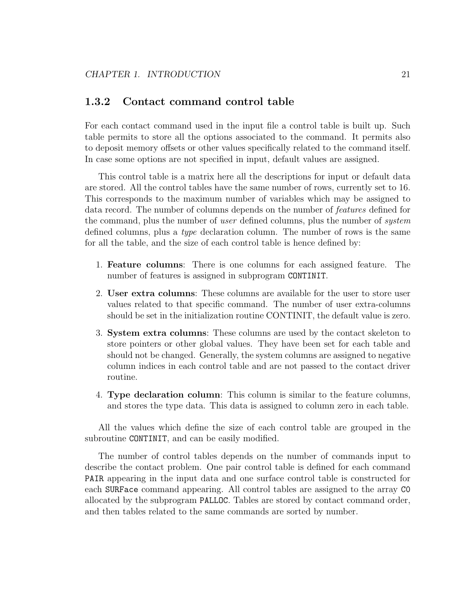#### <span id="page-24-0"></span>1.3.2 Contact command control table

For each contact command used in the input file a control table is built up. Such table permits to store all the options associated to the command. It permits also to deposit memory offsets or other values specifically related to the command itself. In case some options are not specified in input, default values are assigned.

This control table is a matrix here all the descriptions for input or default data are stored. All the control tables have the same number of rows, currently set to 16. This corresponds to the maximum number of variables which may be assigned to data record. The number of columns depends on the number of features defined for the command, plus the number of *user* defined columns, plus the number of *system* defined columns, plus a type declaration column. The number of rows is the same for all the table, and the size of each control table is hence defined by:

- 1. Feature columns: There is one columns for each assigned feature. The number of features is assigned in subprogram CONTINIT.
- 2. User extra columns: These columns are available for the user to store user values related to that specific command. The number of user extra-columns should be set in the initialization routine CONTINIT, the default value is zero.
- 3. System extra columns: These columns are used by the contact skeleton to store pointers or other global values. They have been set for each table and should not be changed. Generally, the system columns are assigned to negative column indices in each control table and are not passed to the contact driver routine.
- 4. Type declaration column: This column is similar to the feature columns, and stores the type data. This data is assigned to column zero in each table.

All the values which define the size of each control table are grouped in the subroutine CONTINIT, and can be easily modified.

The number of control tables depends on the number of commands input to describe the contact problem. One pair control table is defined for each command PAIR appearing in the input data and one surface control table is constructed for each SURFace command appearing. All control tables are assigned to the array C0 allocated by the subprogram PALLOC. Tables are stored by contact command order, and then tables related to the same commands are sorted by number.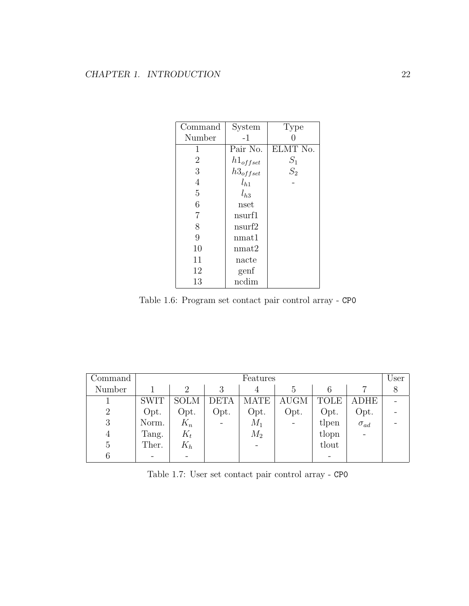| Command        | System        | Type     |
|----------------|---------------|----------|
| Number         | $-1$          |          |
| 1              | Pair No.      | ELMT No. |
| $\overline{2}$ | $h1_{offset}$ | $S_1$    |
| 3              | $h3_{offset}$ | $S_2$    |
| $\overline{4}$ | $l_{h1}$      |          |
| 5              | $l_{h,3}$     |          |
| 6              | nset          |          |
| $\overline{7}$ | nsurf1        |          |
| 8              | nsurf2        |          |
| 9              | nmat1         |          |
| 10             | nmat2         |          |
| 11             | nacte         |          |
| 12             | genf          |          |
| 13             | ncdim         |          |

<span id="page-25-0"></span>Table 1.6: Program set contact pair control array - CP0

| Command        |             | Features       |             |             |                |                          |               |  |  |
|----------------|-------------|----------------|-------------|-------------|----------------|--------------------------|---------------|--|--|
| Number         |             | $\overline{2}$ | 3           |             | G,             |                          |               |  |  |
|                | <b>SWIT</b> | <b>SOLM</b>    | <b>DETA</b> | <b>MATE</b> | <b>AUGM</b>    | TOLE                     | ADHE          |  |  |
| $\overline{2}$ | Opt.        | Opt.           | Opt.        | Opt.        | Opt.           | Opt.                     | Opt.          |  |  |
| 3              | Norm.       | $K_n$          |             | $M_1$       | $\overline{a}$ | tlpen                    | $\sigma_{ad}$ |  |  |
| 4              | Tang.       | $K_t$          |             | $M_2$       |                | tlopn                    | $\sim$        |  |  |
|                | Ther.       | $K_h$          |             |             |                | tlout                    |               |  |  |
|                |             |                |             |             |                | $\overline{\phantom{0}}$ |               |  |  |

<span id="page-25-1"></span>Table 1.7: User set contact pair control array - CP0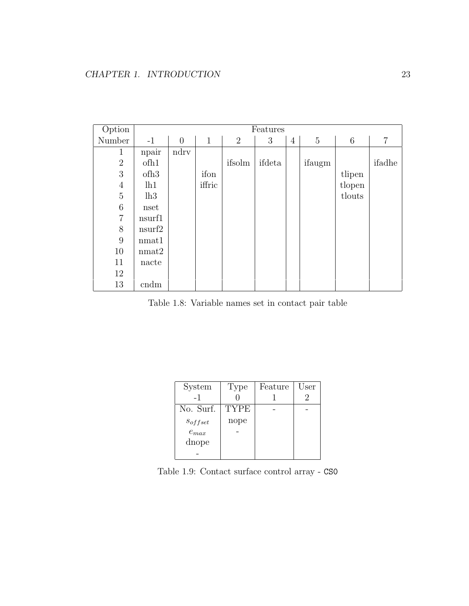| Option           |                  |                |              |                | Features |                |        |        |                |
|------------------|------------------|----------------|--------------|----------------|----------|----------------|--------|--------|----------------|
| Number           | $-1$             | $\overline{0}$ | $\mathbf{1}$ | $\overline{2}$ | 3        | $\overline{4}$ | 5      | 6      | $\overline{7}$ |
| $\mathbf{1}$     | npair            | ndry           |              |                |          |                |        |        |                |
| $\sqrt{2}$       | of h1            |                |              | ifsolm         | ifdeta   |                | ifaugm |        | ifadhe         |
| 3                | ofh <sub>3</sub> |                | ifon         |                |          |                |        | tlipen |                |
| $\overline{4}$   | lh1              |                | iffric       |                |          |                |        | tlopen |                |
| $\bf 5$          | lh3              |                |              |                |          |                |        | tlouts |                |
| 6                | nset             |                |              |                |          |                |        |        |                |
| $\overline{7}$   | nsurf1           |                |              |                |          |                |        |        |                |
| 8                | nsurf2           |                |              |                |          |                |        |        |                |
| $\boldsymbol{9}$ | nmat1            |                |              |                |          |                |        |        |                |
| 10               | nmat2            |                |              |                |          |                |        |        |                |
| 11               | nacte            |                |              |                |          |                |        |        |                |
| 12               |                  |                |              |                |          |                |        |        |                |
| 13               | cndm             |                |              |                |          |                |        |        |                |

<span id="page-26-0"></span>Table 1.8: Variable names set in contact pair table

| System       | Type        | Feature | User |
|--------------|-------------|---------|------|
| $-1$         |             |         |      |
| No. Surf.    | <b>TYPE</b> |         |      |
| $s_{offset}$ | nope        |         |      |
| $e_{max}$    |             |         |      |
| dnope        |             |         |      |
|              |             |         |      |

<span id="page-26-1"></span>Table 1.9: Contact surface control array - CS0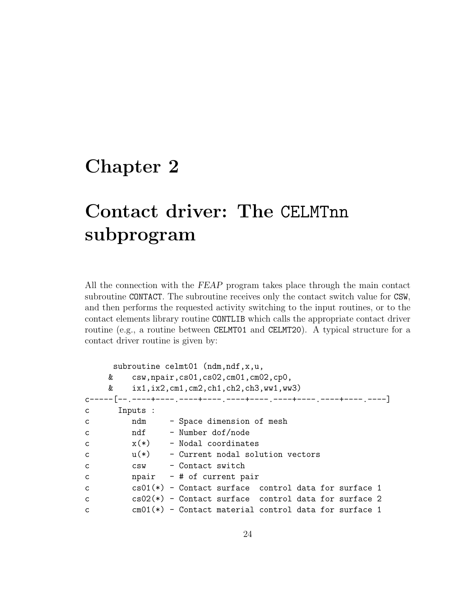## <span id="page-27-0"></span>Chapter 2

# Contact driver: The CELMTnn subprogram

All the connection with the FEAP program takes place through the main contact subroutine CONTACT. The subroutine receives only the contact switch value for CSW, and then performs the requested activity switching to the input routines, or to the contact elements library routine CONTLIB which calls the appropriate contact driver routine (e.g., a routine between CELMT01 and CELMT20). A typical structure for a contact driver routine is given by:

|              | subroutine celmt01 (ndm, ndf, x, u, |                                            |  |                                                         |  |  |  |  |  |
|--------------|-------------------------------------|--------------------------------------------|--|---------------------------------------------------------|--|--|--|--|--|
|              |                                     | & csw, npair, cs01, cs02, cm01, cm02, cp0, |  |                                                         |  |  |  |  |  |
|              | &                                   |                                            |  | $ix1, ix2, cm1, cm2, ch1, ch2, ch3, ww1, ww3)$          |  |  |  |  |  |
|              |                                     |                                            |  |                                                         |  |  |  |  |  |
| C.           | Inputs :                            |                                            |  |                                                         |  |  |  |  |  |
| $\mathsf{C}$ |                                     |                                            |  | ndm - Space dimension of mesh                           |  |  |  |  |  |
| $\mathsf{C}$ | ndf                 Number dof/node |                                            |  |                                                         |  |  |  |  |  |
| $\mathsf{C}$ | $x(*)$ - Nodal coordinates          |                                            |  |                                                         |  |  |  |  |  |
| $\mathsf{C}$ |                                     |                                            |  | $u(*)$ - Current nodal solution vectors                 |  |  |  |  |  |
| C.           | csw - Contact switch                |                                            |  |                                                         |  |  |  |  |  |
| C            |                                     |                                            |  | $npair$ - # of current pair                             |  |  |  |  |  |
| C            |                                     |                                            |  | $cs01(*)$ - Contact surface control data for surface 1  |  |  |  |  |  |
| C.           |                                     |                                            |  | $cs02(*)$ - Contact surface control data for surface 2  |  |  |  |  |  |
| $\mathsf{C}$ |                                     |                                            |  | $cm01(*)$ - Contact material control data for surface 1 |  |  |  |  |  |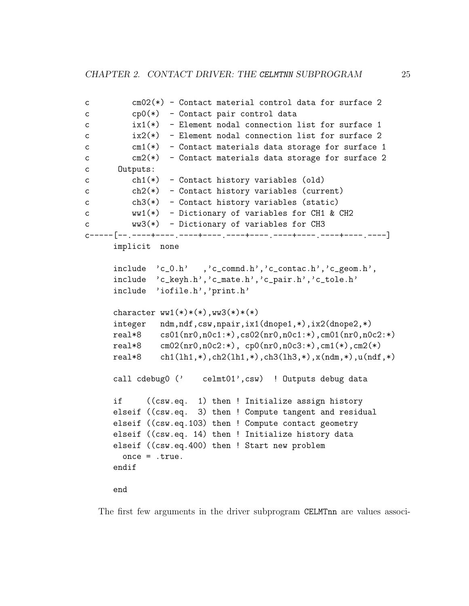```
c cm02(*) - Contact material control data for surface 2
c cp0(*) - Contact pair control data
c ix1(*) - Element nodal connection list for surface 1
c ix2(*) - Element nodal connection list for surface 2
c cm1(*) - Contact materials data storage for surface 1
c cm2(*) - Contact materials data storage for surface 2
c Outputs:
c ch1(*) - Contact history variables (old)
c ch2(*) - Contact history variables (current)
c ch3(*) - Contact history variables (static)
c ww1(*) - Dictionary of variables for CH1 & CH2
c ww3(*) - Dictionary of variables for CH3
c-----[--<sub>.</sub>----+----<sub>.</sub>----+----<sub>-</sub>----+----<sub>-</sub>----+----<sub>-</sub>----+----<sub>-</sub>----+----<sub>-</sub>----]
      implicit none
     include 'c_0.h' ,'c_comnd.h','c_contac.h','c_geom.h',
     include 'c_keyh.h','c_mate.h','c_pair.h','c_tole.h'
     include 'iofile.h','print.h'
     character ww1(*)*(*), ww3(*)*(*)integer ndm,ndf,csw,npair,ix1(dnope1,*),ix2(dnope2,*)
     real*8 cs01(nr0,n0c1:*),cs02(nr0,n0c1:*),cm01(nr0,n0c2:*)
     real*8 cm02(nr0, n0c2:*), cp0(nr0, n0c3:*), cm1(*), cm2(*)real*8 ch1(lh1,*),ch2(lh1,*),ch3(lh3,*),x(ndm,*),u(ndf,*)
     call cdebug0 (' celmt01',csw) ! Outputs debug data
     if ((csw.eq. 1) then ! Initialize assign history
     elseif ((csw.eq. 3) then ! Compute tangent and residual
     elseif ((csw.eq.103) then ! Compute contact geometry
     elseif ((csw.eq. 14) then ! Initialize history data
     elseif ((csw.eq.400) then ! Start new problem
       once = .true.
     endif
     end
```
The first few arguments in the driver subprogram CELMTnn are values associ-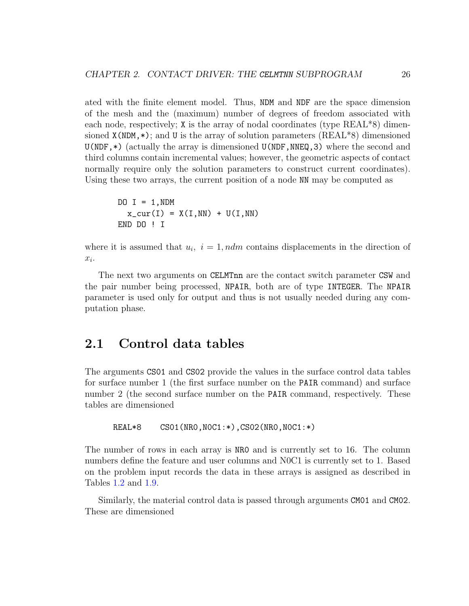ated with the finite element model. Thus, NDM and NDF are the space dimension of the mesh and the (maximum) number of degrees of freedom associated with each node, respectively; X is the array of nodal coordinates (type REAL\*8) dimensioned  $X(NDM, *)$ ; and U is the array of solution parameters  $(REAL*8)$  dimensioned  $U(NDF,*)$  (actually the array is dimensioned  $U(NDF, NNEG, 3)$  where the second and third columns contain incremental values; however, the geometric aspects of contact normally require only the solution parameters to construct current coordinates). Using these two arrays, the current position of a node NN may be computed as

```
DO I = 1, NDMx_ccur(I) = X(I,NN) + U(I,NN)END DO ! I
```
where it is assumed that  $u_i$ ,  $i = 1$ ,  $ndm$  contains displacements in the direction of  $x_i$ .

The next two arguments on CELMTnn are the contact switch parameter CSW and the pair number being processed, NPAIR, both are of type INTEGER. The NPAIR parameter is used only for output and thus is not usually needed during any computation phase.

## <span id="page-29-0"></span>2.1 Control data tables

The arguments CS01 and CS02 provide the values in the surface control data tables for surface number 1 (the first surface number on the PAIR command) and surface number 2 (the second surface number on the PAIR command, respectively. These tables are dimensioned

REAL\*8 CS01(NR0,N0C1:\*),CS02(NR0,N0C1:\*)

The number of rows in each array is NR0 and is currently set to 16. The column numbers define the feature and user columns and N0C1 is currently set to 1. Based on the problem input records the data in these arrays is assigned as described in Tables [1.2](#page-15-1) and [1.9.](#page-26-1)

Similarly, the material control data is passed through arguments CM01 and CM02. These are dimensioned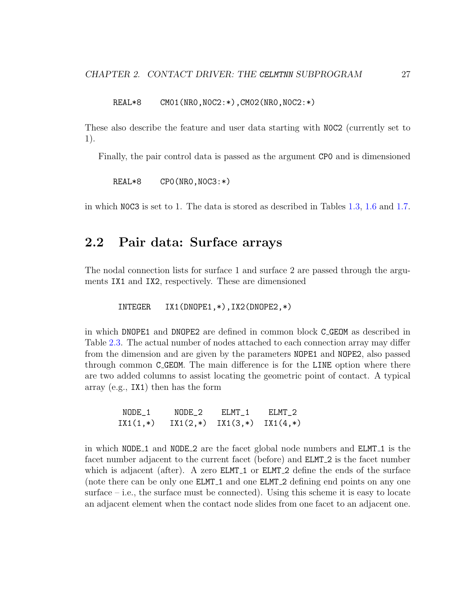REAL\*8 CM01(NR0,N0C2:\*),CM02(NR0,N0C2:\*)

These also describe the feature and user data starting with N0C2 (currently set to 1).

Finally, the pair control data is passed as the argument CP0 and is dimensioned

REAL\*8 CP0(NR0,N0C3:\*)

in which N0C3 is set to 1. The data is stored as described in Tables [1.3,](#page-18-1) [1.6](#page-25-0) and [1.7.](#page-25-1)

### <span id="page-30-0"></span>2.2 Pair data: Surface arrays

The nodal connection lists for surface 1 and surface 2 are passed through the arguments IX1 and IX2, respectively. These are dimensioned

INTEGER IX1(DNOPE1,\*),IX2(DNOPE2,\*)

in which DNOPE1 and DNOPE2 are defined in common block C GEOM as described in Table [2.3.](#page-36-0) The actual number of nodes attached to each connection array may differ from the dimension and are given by the parameters NOPE1 and NOPE2, also passed through common C GEOM. The main difference is for the LINE option where there are two added columns to assist locating the geometric point of contact. A typical array (e.g., IX1) then has the form

NODE\_1 NODE\_2 ELMT\_1 ELMT\_2  $IX1(1,*)$   $IX1(2,*)$   $IX1(3,*)$   $IX1(4,*)$ 

in which NODE<sub>1</sub> and NODE<sub>2</sub> are the facet global node numbers and **ELMT**<sub>1</sub> is the facet number adjacent to the current facet (before) and ELMT 2 is the facet number which is adjacent (after). A zero ELMT<sub>-1</sub> or ELMT<sub>-2</sub> define the ends of the surface (note there can be only one ELMT<sub>-1</sub> and one ELMT<sub>-2</sub> defining end points on any one surface  $-$  i.e., the surface must be connected). Using this scheme it is easy to locate an adjacent element when the contact node slides from one facet to an adjacent one.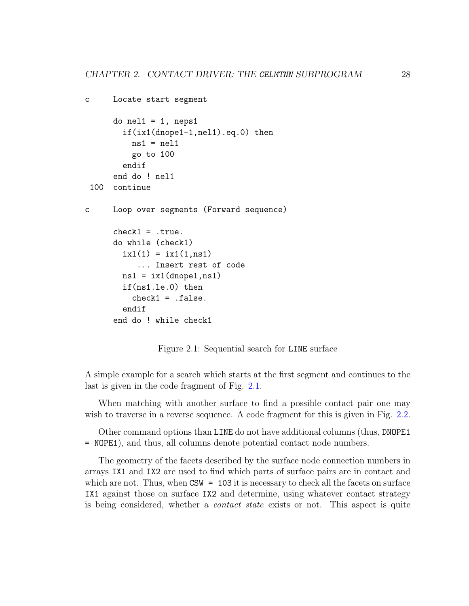```
c Locate start segment
     do nel1 = 1, neps1if(ix1(dnope1-1,nel1).eq.0) then
         ns1 = nel1go to 100
       endif
     end do ! nel1
 100 continue
c Loop over segments (Forward sequence)
     check1 = .true.do while (check1)
        ixl(1) = ixl(1, ns1)... Insert rest of code
       ns1 = ix1(dnopel, ns1)if(ns1.le.0) then
          check1 = .false.endif
     end do ! while check1
```
<span id="page-31-0"></span>Figure 2.1: Sequential search for LINE surface

A simple example for a search which starts at the first segment and continues to the last is given in the code fragment of Fig. [2.1.](#page-31-0)

When matching with another surface to find a possible contact pair one may wish to traverse in a reverse sequence. A code fragment for this is given in Fig. [2.2.](#page-32-0)

Other command options than LINE do not have additional columns (thus, DNOPE1 = NOPE1), and thus, all columns denote potential contact node numbers.

The geometry of the facets described by the surface node connection numbers in arrays IX1 and IX2 are used to find which parts of surface pairs are in contact and which are not. Thus, when  $CSW = 103$  it is necessary to check all the facets on surface IX1 against those on surface IX2 and determine, using whatever contact strategy is being considered, whether a contact state exists or not. This aspect is quite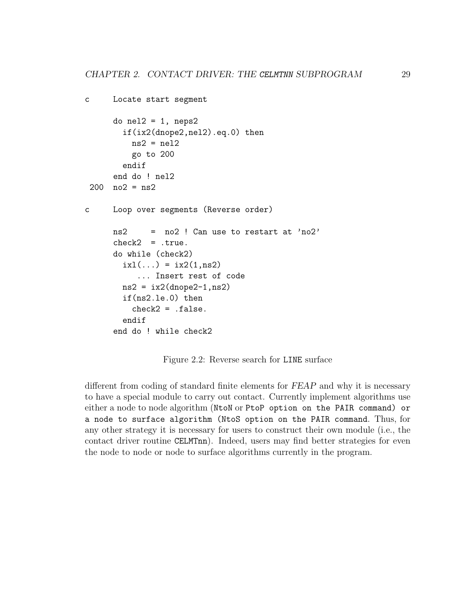```
c Locate start segment
     do nel2 = 1, neps2if(ix2(dnope2,nel2).eq.0) then
         ns2 = nel2go to 200
       endif
     end do ! nel2
200 no2 =ns2c Loop over segments (Reverse order)
     ns2 = no2 ! Can use to restart at 'no2'
     check2 = .true.do while (check2)
       ixl(...) = ix2(1, ns2)... Insert rest of code
       ns2 = ix2(dnope2-1,ns2)if(ns2.le.0) then
         check2 = false.
       endif
     end do ! while check2
```
<span id="page-32-0"></span>Figure 2.2: Reverse search for LINE surface

different from coding of standard finite elements for FEAP and why it is necessary to have a special module to carry out contact. Currently implement algorithms use either a node to node algorithm (NtoN or PtoP option on the PAIR command) or a node to surface algorithm (NtoS option on the PAIR command. Thus, for any other strategy it is necessary for users to construct their own module (i.e., the contact driver routine CELMTnn). Indeed, users may find better strategies for even the node to node or node to surface algorithms currently in the program.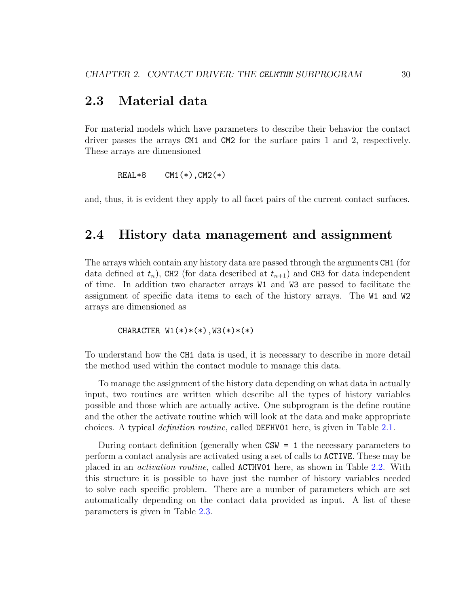### <span id="page-33-0"></span>2.3 Material data

For material models which have parameters to describe their behavior the contact driver passes the arrays CM1 and CM2 for the surface pairs 1 and 2, respectively. These arrays are dimensioned

REAL\*8 CM1(\*),CM2(\*)

and, thus, it is evident they apply to all facet pairs of the current contact surfaces.

### <span id="page-33-1"></span>2.4 History data management and assignment

The arrays which contain any history data are passed through the arguments CH1 (for data defined at  $t_n$ ), CH2 (for data described at  $t_{n+1}$ ) and CH3 for data independent of time. In addition two character arrays W1 and W3 are passed to facilitate the assignment of specific data items to each of the history arrays. The W1 and W2 arrays are dimensioned as

CHARACTER  $W1(*)*(*)$ ,  $W3(*)*(*)$ 

To understand how the CHi data is used, it is necessary to describe in more detail the method used within the contact module to manage this data.

To manage the assignment of the history data depending on what data in actually input, two routines are written which describe all the types of history variables possible and those which are actually active. One subprogram is the define routine and the other the activate routine which will look at the data and make appropriate choices. A typical definition routine, called DEFHV01 here, is given in Table [2.1.](#page-34-0)

During contact definition (generally when  $CSW = 1$  the necessary parameters to perform a contact analysis are activated using a set of calls to ACTIVE. These may be placed in an activation routine, called ACTHV01 here, as shown in Table [2.2.](#page-35-0) With this structure it is possible to have just the number of history variables needed to solve each specific problem. There are a number of parameters which are set automatically depending on the contact data provided as input. A list of these parameters is given in Table [2.3.](#page-36-0)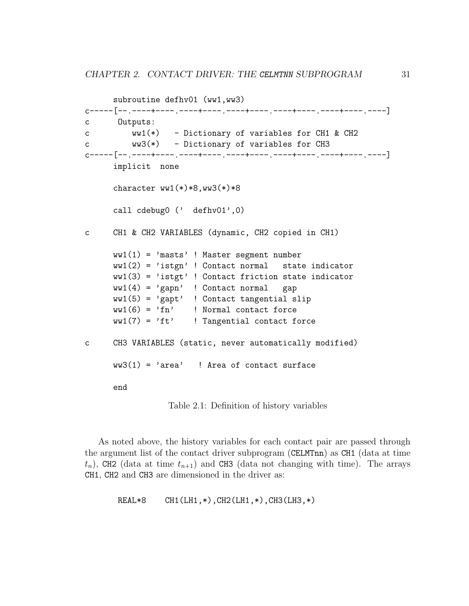```
subroutine defhv01 (ww1,ww3)
c-----[--<sub>.</sub>----+----<sub>-</sub>----++----<sub>-</sub>----+----<sub>-</sub>----+----<sub>-</sub>----+----<sub>-</sub>---+----<sub>-</sub>
c Outputs:
c ww1(*) - Dictionary of variables for CH1 & CH2
c ww3(*) - Dictionary of variables for CH3
c-----[--.----+----.----+----.----+----.----+----.----+----.----]
      implicit none
      character ww1(*)*8,ww3(*)*8call cdebug0 (' defhv01',0)
c CH1 & CH2 VARIABLES (dynamic, CH2 copied in CH1)
      ww1(1) = 'masts' ! Master segment number
      ww1(2) = 'istgn' ! Contact normal state indicator
      ww1(3) = 'istgt' ! Contact friction state indicator
      ww1(4) = 'gapn' ! Contact normal gap
      ww1(5) = 'gapt' ! Contact tangential slip
      ww1(6) = 'fn' ! Normal contact force
      ww1(7) = 'ft' ! Tangential contact force
c CH3 VARIABLES (static, never automatically modified)
      ww3(1) = 'area' ! Area of contact surface
      end
                  Table 2.1: Definition of history variables
```
<span id="page-34-0"></span>As noted above, the history variables for each contact pair are passed through the argument list of the contact driver subprogram (CELMTnn) as CH1 (data at time  $t_n$ ), CH2 (data at time  $t_{n+1}$ ) and CH3 (data not changing with time). The arrays CH1, CH2 and CH3 are dimensioned in the driver as:

REAL\*8 CH1(LH1,\*),CH2(LH1,\*),CH3(LH3,\*)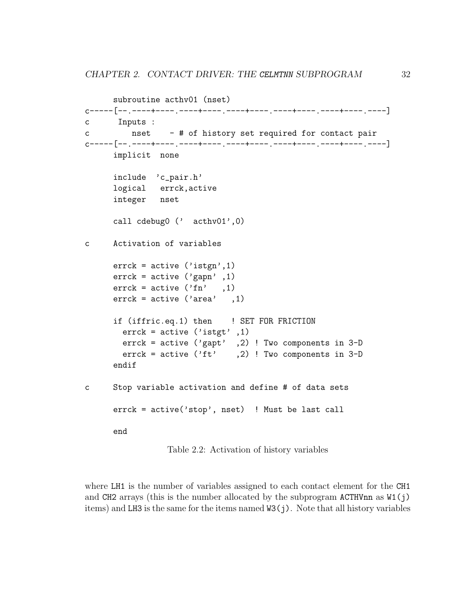```
subroutine acthv01 (nset)
c-----[--<sub>.</sub>----+----<sub>-</sub>----++----<sub>-</sub>----+----<sub>-</sub>----+----<sub>-</sub>----+----<sub>-</sub>---+----<sub>-</sub>
c Inputs :
c nset - # of history set required for contact pair
c-----[--.----+----.----+----.----+----.----+----.----+----.----]
      implicit none
      include 'c_pair.h'
      logical errck,active
      integer nset
      call cdebug0 (' acthv01',0)
c Activation of variables
      errek = active ('istgn', 1)errck = active ('gapn', 1)errck = active ('fn', 1)errck = active ('area' , 1)if (iffric.eq.1) then ! SET FOR FRICTION
        erack = active ('istgt', 1)errck = active ('gapt' ,2) ! Two components in 3-D
        errck = active ('ft', 2) ! Two components in 3-D
      endif
c Stop variable activation and define # of data sets
      errck = active('stop', nset) ! Must be last call
      end
```
<span id="page-35-0"></span>Table 2.2: Activation of history variables

where LH1 is the number of variables assigned to each contact element for the CH1 and CH2 arrays (this is the number allocated by the subprogram ACTHVnn as  $W1(i)$ ) items) and LH3 is the same for the items named W3(j). Note that all history variables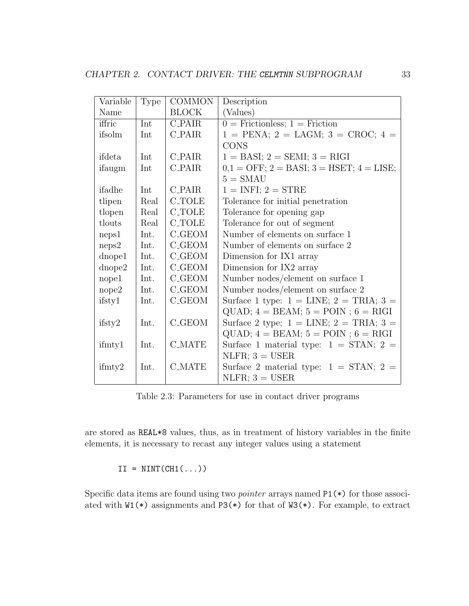| Variable                 | <b>Type</b> | <b>COMMON</b>      | Description                                      |
|--------------------------|-------------|--------------------|--------------------------------------------------|
| Name                     |             | <b>BLOCK</b>       | (Values)                                         |
| iffric                   | Int         | $C$ -PAIR          | $0 =$ Frictionless; 1 = Friction                 |
| ifsolm                   | Int         | <b>C_PAIR</b>      | $1 = PENA$ ; $2 = LAGM$ ; $3 = CROC$ ; $4 =$     |
|                          |             |                    | <b>CONS</b>                                      |
| ifdeta                   | Int         | <b>C_PAIR</b>      | $1 = BASI$ ; $2 = SEMI$ ; $3 = RIGI$             |
| ifaugm                   | Int         | <b>C_PAIR</b>      | $0,1 =$ OFF; $2 =$ BASI; $3 =$ HSET; $4 =$ LISE; |
|                          |             |                    | $5 = \text{SMAU}$                                |
| ifadhe                   | Int         | <b>C_PAIR</b>      | $1 =$ INFI; $2 =$ STRE                           |
| tlipen                   | Real        | <b>C_TOLE</b>      | Tolerance for initial penetration                |
| tlopen                   | Real        | <b>C_TOLE</b>      | Tolerance for opening gap                        |
| tlouts                   | Real        | <b>C_TOLE</b>      | Tolerance for out of segment                     |
| neps1                    | Int.        | <b>C_GEOM</b>      | Number of elements on surface 1                  |
| neps2                    | Int.        | C_GEOM             | Number of elements on surface 2                  |
| dnope1                   | Int.        | <b>C_GEOM</b>      | Dimension for IX1 array                          |
| $d$ <sub>n</sub> ope $2$ | Int.        | C_GEOM             | Dimension for IX2 array                          |
| nope1                    | Int.        | <b>C_GEOM</b>      | Number nodes/element on surface 1                |
| nope2                    | Int.        | $C_{\text{-GEDM}}$ | Number nodes/element on surface 2                |
| ifsty1                   | Int.        | <b>C_GEOM</b>      | Surface 1 type: $1 =$ LINE; $2 =$ TRIA; $3 =$    |
|                          |             |                    | $QUAD$ ; $4 = BEAM$ ; $5 = POIN$ ; $6 = RIGI$    |
| $i$ fsty $2$             | Int.        | <b>C_GEOM</b>      | Surface 2 type: $1 =$ LINE; $2 =$ TRIA; $3 =$    |
|                          |             |                    | $QUAD$ ; $4 = BEAM$ ; $5 = POIN$ ; $6 = RIGI$    |
| ifmty1                   | Int.        | <b>C_MATE</b>      | Surface 1 material type: $1 = \text{STAN}; 2 =$  |
|                          |             |                    | $NLFR$ ; 3 = USER                                |
| if <i>m</i>              | Int.        | <b>C_MATE</b>      | Surface 2 material type: $1 = \text{STAN}; 2 =$  |
|                          |             |                    | $NLFR$ ; 3 = USER                                |

<span id="page-36-0"></span>Table 2.3: Parameters for use in contact driver programs

are stored as REAL\*8 values, thus, as in treatment of history variables in the finite elements, it is necessary to recast any integer values using a statement

$$
II = NINT(CH1(\ldots))
$$

Specific data items are found using two *pointer* arrays named  $P1(*)$  for those associated with W1(\*) assignments and P3(\*) for that of W3(\*). For example, to extract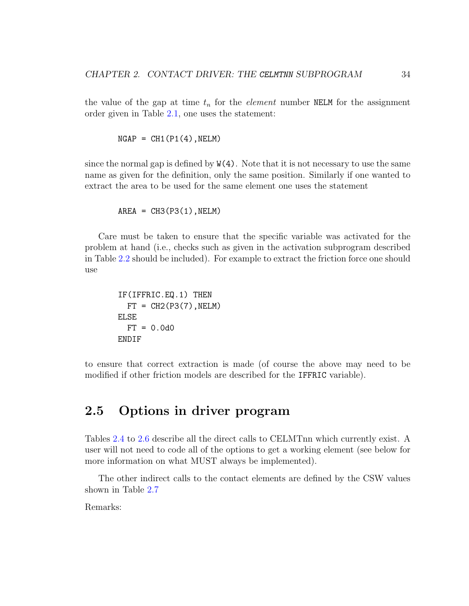the value of the gap at time  $t_n$  for the *element* number NELM for the assignment order given in Table [2.1,](#page-34-0) one uses the statement:

 $NGAP = CH1(P1(4), NELM)$ 

since the normal gap is defined by  $W(4)$ . Note that it is not necessary to use the same name as given for the definition, only the same position. Similarly if one wanted to extract the area to be used for the same element one uses the statement

 $AREA = CH3(P3(1), NELM)$ 

Care must be taken to ensure that the specific variable was activated for the problem at hand (i.e., checks such as given in the activation subprogram described in Table [2.2](#page-35-0) should be included). For example to extract the friction force one should use

```
IF(IFFRIC.EQ.1) THEN
 FT = CH2(P3(7), NELM)ELSE
  FT = 0.0d0ENDIF
```
to ensure that correct extraction is made (of course the above may need to be modified if other friction models are described for the IFFRIC variable).

## <span id="page-37-0"></span>2.5 Options in driver program

Tables [2.4](#page-38-0) to [2.6](#page-45-0) describe all the direct calls to CELMTnn which currently exist. A user will not need to code all of the options to get a working element (see below for more information on what MUST always be implemented).

The other indirect calls to the contact elements are defined by the CSW values shown in Table [2.7](#page-45-1)

Remarks: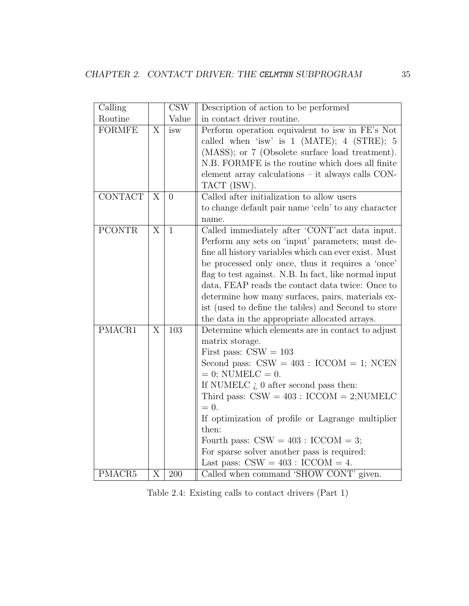| Calling        |                | <b>CSW</b>       | Description of action to be performed                                                                                                                                                                                                                                                                                                                                                                                                                                                       |
|----------------|----------------|------------------|---------------------------------------------------------------------------------------------------------------------------------------------------------------------------------------------------------------------------------------------------------------------------------------------------------------------------------------------------------------------------------------------------------------------------------------------------------------------------------------------|
| Routine        |                | Value            | in contact driver routine.                                                                                                                                                                                                                                                                                                                                                                                                                                                                  |
| <b>FORMFE</b>  | X              | isw              | Perform operation equivalent to isw in FE's Not<br>called when 'isw' is $1$ (MATE); $4$ (STRE); $5$<br>(MASS); or 7 (Obsolete surface load treatment).<br>N.B. FORMFE is the routine which does all finite<br>element array calculations – it always calls CON-<br>TACT (ISW).                                                                                                                                                                                                              |
| <b>CONTACT</b> | X              | $\theta$         | Called after initialization to allow users<br>to change default pair name 'celn' to any character<br>name.                                                                                                                                                                                                                                                                                                                                                                                  |
| <b>PCONTR</b>  | X              | $\mathbf{1}$     | Called immediately after 'CONT' act data input.<br>Perform any sets on 'input' parameters; must de-<br>fine all history variables which can ever exist. Must<br>be processed only once, thus it requires a 'once'<br>flag to test against. N.B. In fact, like normal input<br>data, FEAP reads the contact data twice: Once to<br>determine how many surfaces, pairs, materials ex-<br>ist (used to define the tables) and Second to store<br>the data in the appropriate allocated arrays. |
| PMACR1         | X              | $\overline{103}$ | Determine which elements are in contact to adjust<br>matrix storage.<br>First pass: $CSW = 103$<br>Second pass: $CSW = 403$ : $ICCOM = 1$ ; NCEN<br>$= 0$ ; NUMELC $= 0$ .<br>If NUMELC $\zeta$ 0 after second pass then:<br>Third pass: $CSW = 403$ : $ICCOM = 2; NUMELC$<br>$= 0.$<br>If optimization of profile or Lagrange multiplier<br>then:<br>Fourth pass: $CSW = 403$ : $ICCOM = 3$ ;<br>For sparse solver another pass is required:<br>Last pass: $CSW = 403$ : $ICCOM = 4$ .     |
| PMACR5         | $\overline{X}$ | 200              | Called when command 'SHOW CONT' given.                                                                                                                                                                                                                                                                                                                                                                                                                                                      |

<span id="page-38-0"></span>Table 2.4: Existing calls to contact drivers (Part 1)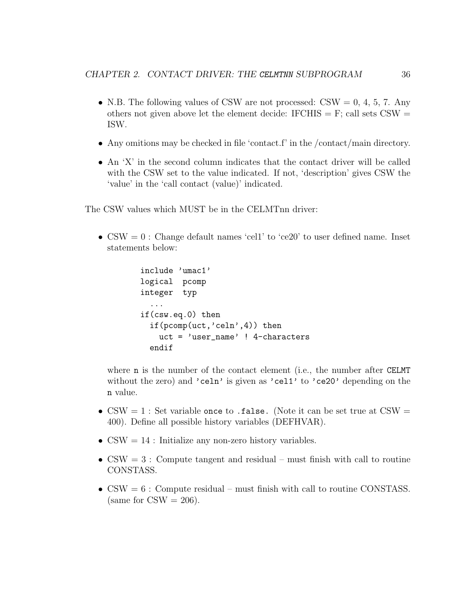- N.B. The following values of CSW are not processed:  $\text{CSW} = 0, 4, 5, 7$ . Any others not given above let the element decide: IFCHIS  $=$  F; call sets CSW  $=$ ISW.
- Any omitions may be checked in file 'contact.f' in the /contact/main directory.
- An 'X' in the second column indicates that the contact driver will be called with the CSW set to the value indicated. If not, 'description' gives CSW the 'value' in the 'call contact (value)' indicated.

The CSW values which MUST be in the CELMTnn driver:

•  $CSW = 0$ : Change default names 'cell' to 'ce20' to user defined name. Inset statements below:

```
include 'umac1'
logical pcomp
integer typ
  ...
if(csw.eq.0) then
  if(pcomp(uct, 'cell', 4)) then
    uct = 'user_name' ! 4-characters
  endif
```
where **n** is the number of the contact element (i.e., the number after CELMT without the zero) and 'celn' is given as 'cell' to 'ce20' depending on the n value.

- CSW = 1 : Set variable once to .false. (Note it can be set true at  $\text{CSW} =$ 400). Define all possible history variables (DEFHVAR).
- $\text{CSW} = 14$ : Initialize any non-zero history variables.
- $\text{CSW} = 3$ : Compute tangent and residual must finish with call to routine CONSTASS.
- $CSW = 6$ : Compute residual must finish with call to routine CONSTASS. (same for  $\text{CSW} = 206$ ).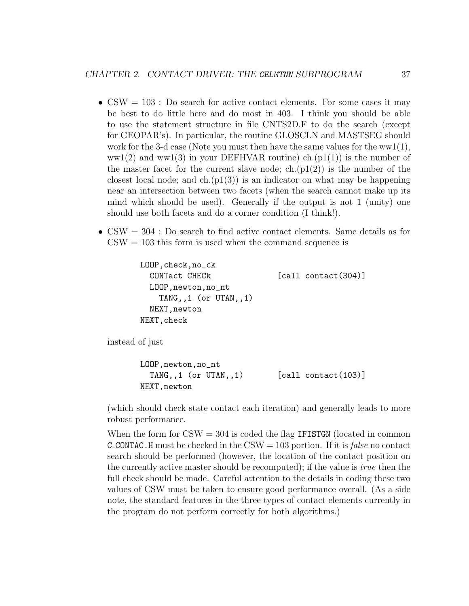- $\text{CSW} = 103$ : Do search for active contact elements. For some cases it may be best to do little here and do most in 403. I think you should be able to use the statement structure in file CNTS2D.F to do the search (except for GEOPAR's). In particular, the routine GLOSCLN and MASTSEG should work for the 3-d case (Note you must then have the same values for the  $ww1(1)$ ,  $ww1(2)$  and  $ww1(3)$  in your DEFHVAR routine) ch.(p1(1)) is the number of the master facet for the current slave node; ch. $(p1(2))$  is the number of the closest local node; and  $ch(p1(3))$  is an indicator on what may be happening near an intersection between two facets (when the search cannot make up its mind which should be used). Generally if the output is not 1 (unity) one should use both facets and do a corner condition (I think!).
- $\text{CSW} = 304$ : Do search to find active contact elements. Same details as for  $CSW = 103$  this form is used when the command sequence is

```
LOOP,check,no_ck
  CONTact CHECk [call contact(304)]
 LOOP,newton,no_nt
    TANG,,1 (or UTAN,,1)
 NEXT, newton
NEXT,check
```
instead of just

```
LOOP,newton,no_nt
  TANG, 1 (or UTAN,,1) [call contact(103)]
NEXT,newton
```
(which should check state contact each iteration) and generally leads to more robust performance.

When the form for  $\text{CSW} = 304$  is coded the flag IFISTGN (located in common **C\_CONTAC.**H must be checked in the CSW =  $103$  portion. If it is *false* no contact search should be performed (however, the location of the contact position on the currently active master should be recomputed); if the value is true then the full check should be made. Careful attention to the details in coding these two values of CSW must be taken to ensure good performance overall. (As a side note, the standard features in the three types of contact elements currently in the program do not perform correctly for both algorithms.)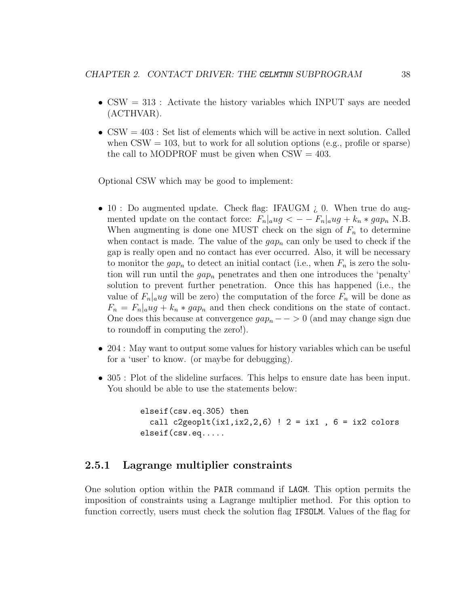- CSW  $= 313$ : Activate the history variables which INPUT says are needed (ACTHVAR).
- $\text{CSW} = 403$ : Set list of elements which will be active in next solution. Called when  $\text{CSW} = 103$ , but to work for all solution options (e.g., profile or sparse) the call to MODPROF must be given when  $CSW = 403$ .

Optional CSW which may be good to implement:

- 10 : Do augmented update. Check flag: IFAUGM  $\chi$  0. When true do augmented update on the contact force:  $F_n|_aug < -F_n|_aug + k_n * gap_n$  N.B. When augmenting is done one MUST check on the sign of  $F_n$  to determine when contact is made. The value of the  $gap_n$  can only be used to check if the gap is really open and no contact has ever occurred. Also, it will be necessary to monitor the  $gap_n$  to detect an initial contact (i.e., when  $F_n$  is zero the solution will run until the  $gap_n$  penetrates and then one introduces the 'penalty' solution to prevent further penetration. Once this has happened (i.e., the value of  $F_n|_aug$  will be zero) the computation of the force  $F_n$  will be done as  $F_n = F_n|_aug + k_n * gap_n$  and then check conditions on the state of contact. One does this because at convergence  $gap_n \rightharpoonup 0$  (and may change sign due to roundoff in computing the zero!).
- 204 : May want to output some values for history variables which can be useful for a 'user' to know. (or maybe for debugging).
- 305 : Plot of the slideline surfaces. This helps to ensure date has been input. You should be able to use the statements below:

```
elseif(csw.eq.305) then
  call c2geoplt(ix1,ix2,2,6) ! 2 = i x1, 6 = i x2 colors
elseif(csw.eq.....
```
#### <span id="page-41-0"></span>2.5.1 Lagrange multiplier constraints

One solution option within the PAIR command if LAGM. This option permits the imposition of constraints using a Lagrange multiplier method. For this option to function correctly, users must check the solution flag IFSOLM. Values of the flag for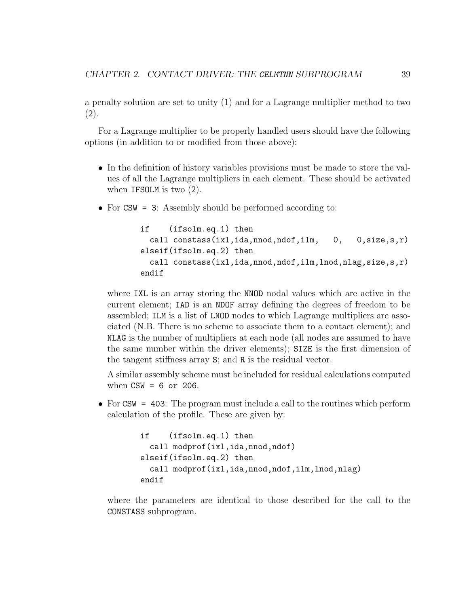a penalty solution are set to unity (1) and for a Lagrange multiplier method to two (2).

For a Lagrange multiplier to be properly handled users should have the following options (in addition to or modified from those above):

- In the definition of history variables provisions must be made to store the values of all the Lagrange multipliers in each element. These should be activated when IFSOLM is two  $(2)$ .
- For CSW = 3: Assembly should be performed according to:

```
if (ifsolm.eq.1) then
  call constass(ixl,ida,nnod,ndof,ilm, 0, 0,size,s,r)
elseif(ifsolm.eq.2) then
  call constass(ixl,ida,nnod,ndof,ilm,lnod,nlag,size,s,r)
endif
```
where IXL is an array storing the NNOD nodal values which are active in the current element; IAD is an NDOF array defining the degrees of freedom to be assembled; ILM is a list of LNOD nodes to which Lagrange multipliers are associated (N.B. There is no scheme to associate them to a contact element); and NLAG is the number of multipliers at each node (all nodes are assumed to have the same number within the driver elements); SIZE is the first dimension of the tangent stiffness array S; and R is the residual vector.

A similar assembly scheme must be included for residual calculations computed when  $CSW = 6$  or 206.

• For CSW = 403: The program must include a call to the routines which perform calculation of the profile. These are given by:

```
if (ifsolm.eq.1) then
 call modprof(ixl,ida,nnod,ndof)
elseif(ifsolm.eq.2) then
 call modprof(ixl,ida,nnod,ndof,ilm,lnod,nlag)
endif
```
where the parameters are identical to those described for the call to the CONSTASS subprogram.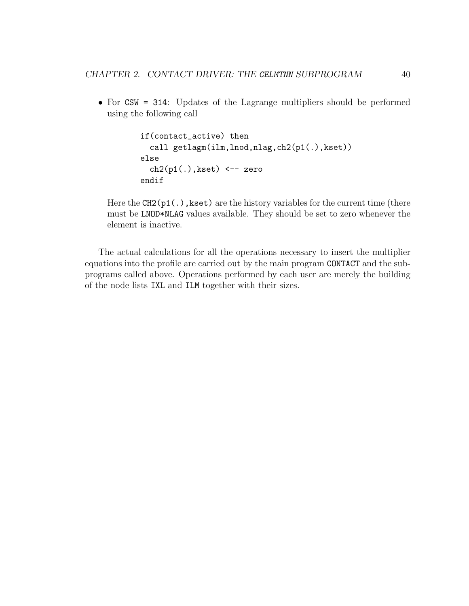• For CSW = 314: Updates of the Lagrange multipliers should be performed using the following call

```
if(contact_active) then
  call getlagm(ilm,lnod,nlag,ch2(p1(.),kset))
else
  ch2(p1(.),kset) <-- zero
endif
```
Here the  $CH2(p1(.)$ , kset) are the history variables for the current time (there must be LNOD\*NLAG values available. They should be set to zero whenever the element is inactive.

The actual calculations for all the operations necessary to insert the multiplier equations into the profile are carried out by the main program CONTACT and the subprograms called above. Operations performed by each user are merely the building of the node lists IXL and ILM together with their sizes.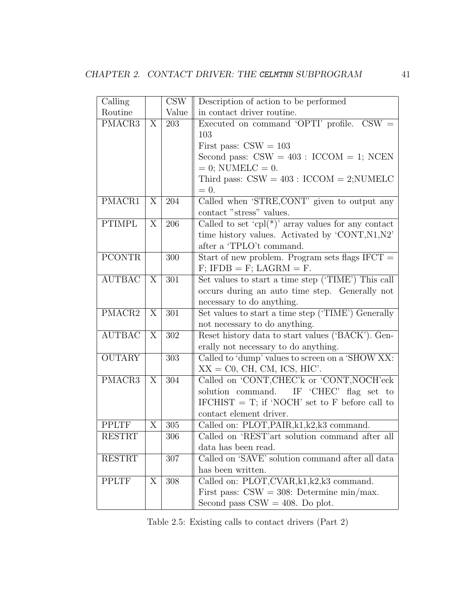| Calling       |                | CSW   | Description of action to be performed                   |
|---------------|----------------|-------|---------------------------------------------------------|
| Routine       |                | Value | in contact driver routine.                              |
| PMACR3        | X              | 203   | Executed on command 'OPTI' profile. $CSW =$             |
|               |                |       | 103                                                     |
|               |                |       | First pass: $CSW = 103$                                 |
|               |                |       | Second pass: $CSW = 403$ : $ICCOM = 1$ ; NCEN           |
|               |                |       | $= 0$ ; NUMELC $= 0$ .                                  |
|               |                |       | Third pass: $CSW = 403$ : $ICCOM = 2; NUMBER$           |
|               |                |       | $= 0.$                                                  |
| PMACR1        | $\overline{X}$ | 204   | Called when 'STRE, CONT' given to output any            |
|               |                |       | contact "stress" values.                                |
| <b>PTIMPL</b> | $\overline{X}$ | 206   | Called to set 'cpl(*)' array values for any contact     |
|               |                |       | time history values. Activated by 'CONT, N1, N2'        |
|               |                |       | after a 'TPLO't command.                                |
| <b>PCONTR</b> |                | 300   | Start of new problem. Program sets flags $IFCT =$       |
|               |                |       | $F$ ; IFDB = F; LAGRM = F.                              |
| <b>AUTBAC</b> | X              | 301   | Set values to start a time step ('TIME') This call      |
|               |                |       | occurs during an auto time step. Generally not          |
|               |                |       | necessary to do anything.                               |
| PMACR2        | X              | 301   | Set values to start a time step ('TIME') Generally      |
|               |                |       | not necessary to do anything.                           |
| <b>AUTBAC</b> | X              | 302   | Reset history data to start values ('BACK'). Gen-       |
|               |                |       | erally not necessary to do anything.                    |
| <b>OUTARY</b> |                | 303   | Called to 'dump' values to screen on a 'SHOW XX:        |
|               |                |       | $XX = CO$ , CH, CM, ICS, HIC'.                          |
| PMACR3        | $\overline{X}$ | 304   | Called on 'CONT, CHEC'k or 'CONT, NOCH'eck              |
|               |                |       | solution command.<br>IF 'CHEC' flag set to              |
|               |                |       | $\text{IFCHIST}$ = T; if 'NOCH' set to F before call to |
|               |                |       | contact element driver.                                 |
| <b>PPLTF</b>  | X              | 305   | Called on: PLOT, PAIR, k1, k2, k3 command.              |
| <b>RESTRT</b> |                | 306   | Called on 'REST'art solution command after all          |
|               |                |       | data has been read.                                     |
| <b>RESTRT</b> |                | 307   | Called on 'SAVE' solution command after all data        |
|               |                |       | has been written.                                       |
| <b>PPLTF</b>  | X              | 308   | Called on: $\overline{PLOT,CVAR}, k1, k2, k3$ command.  |
|               |                |       | First pass: $CSW = 308$ : Determine min/max.            |
|               |                |       | Second pass $CSW = 408$ . Do plot.                      |

<span id="page-44-0"></span>Table 2.5: Existing calls to contact drivers (Part 2)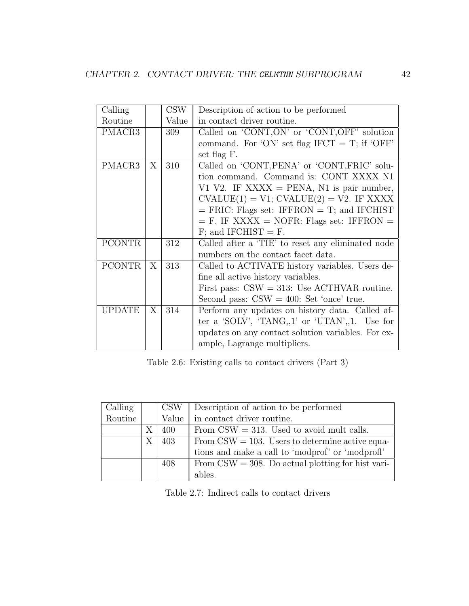| $\overline{\text{Calling}}$ |   |            |                                                    |
|-----------------------------|---|------------|----------------------------------------------------|
|                             |   | <b>CSW</b> | Description of action to be performed              |
| Routine                     |   | Value      | in contact driver routine.                         |
| PMACR3                      |   | 309        | Called on 'CONT, ON' or 'CONT, OFF' solution       |
|                             |   |            | command. For 'ON' set flag IFCT = T; if 'OFF'      |
|                             |   |            | set flag F.                                        |
| PMACR3                      | X | 310        | Called on 'CONT, PENA' or 'CONT, FRIC' solu-       |
|                             |   |            | tion command. Command is: CONT XXXX N1             |
|                             |   |            | V1 V2. IF XXXX = PENA, N1 is pair number,          |
|                             |   |            | $CVALUE(1) = V1$ ; $CVALUE(2) = V2$ . IF XXXX      |
|                             |   |            | $=$ FRIC: Flags set: IFFRON $=$ T; and IFCHIST     |
|                             |   |            | $=$ F. IF XXXX $=$ NOFR: Flags set: IFFRON $=$     |
|                             |   |            | $F$ ; and IFCHIST = F.                             |
| <b>PCONTR</b>               |   | 312        | Called after a 'TIE' to reset any eliminated node  |
|                             |   |            | numbers on the contact facet data.                 |
| <b>PCONTR</b>               | X | 313        | Called to ACTIVATE history variables. Users de-    |
|                             |   |            | fine all active history variables.                 |
|                             |   |            | First pass: $CSW = 313$ : Use ACTHVAR routine.     |
|                             |   |            | Second pass: $CSW = 400$ : Set 'once' true.        |
| <b>UPDATE</b>               | X | 314        | Perform any updates on history data. Called af-    |
|                             |   |            | ter a 'SOLV', 'TANG,,1' or 'UTAN',,1. Use for      |
|                             |   |            | updates on any contact solution variables. For ex- |
|                             |   |            | ample, Lagrange multipliers.                       |
|                             |   |            |                                                    |

<span id="page-45-0"></span>Table 2.6: Existing calls to contact drivers (Part 3)

| Calling |   | <b>CSW</b> | Description of action to be performed                       |
|---------|---|------------|-------------------------------------------------------------|
| Routine |   | Value      | in contact driver routine.                                  |
|         | X | 400        | From $CSW = 313$ . Used to avoid mult calls.                |
|         | X | 403        | From $\text{CSW} = 103$ . Users to determine active equa-   |
|         |   |            | tions and make a call to 'modprof' or 'modprof'             |
|         |   | 408        | From $\text{CSW} = 308$ . Do actual plotting for hist vari- |
|         |   |            | ables.                                                      |

<span id="page-45-1"></span>Table 2.7: Indirect calls to contact drivers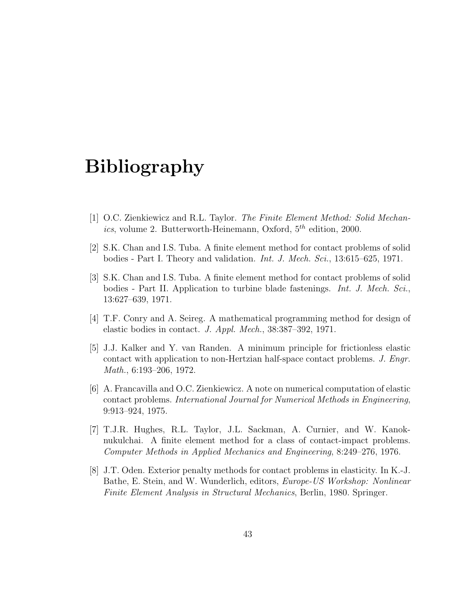## Bibliography

- <span id="page-46-0"></span>[1] O.C. Zienkiewicz and R.L. Taylor. The Finite Element Method: Solid Mechanics, volume 2. Butterworth-Heinemann, Oxford,  $5^{th}$  edition, 2000.
- <span id="page-46-1"></span>[2] S.K. Chan and I.S. Tuba. A finite element method for contact problems of solid bodies - Part I. Theory and validation. Int. J. Mech. Sci., 13:615–625, 1971.
- [3] S.K. Chan and I.S. Tuba. A finite element method for contact problems of solid bodies - Part II. Application to turbine blade fastenings. Int. J. Mech. Sci., 13:627–639, 1971.
- [4] T.F. Conry and A. Seireg. A mathematical programming method for design of elastic bodies in contact. J. Appl. Mech., 38:387–392, 1971.
- [5] J.J. Kalker and Y. van Randen. A minimum principle for frictionless elastic contact with application to non-Hertzian half-space contact problems. J. Engr. Math., 6:193–206, 1972.
- [6] A. Francavilla and O.C. Zienkiewicz. A note on numerical computation of elastic contact problems. International Journal for Numerical Methods in Engineering, 9:913–924, 1975.
- [7] T.J.R. Hughes, R.L. Taylor, J.L. Sackman, A. Curnier, and W. Kanoknukulchai. A finite element method for a class of contact-impact problems. Computer Methods in Applied Mechanics and Engineering, 8:249–276, 1976.
- [8] J.T. Oden. Exterior penalty methods for contact problems in elasticity. In K.-J. Bathe, E. Stein, and W. Wunderlich, editors, Europe-US Workshop: Nonlinear Finite Element Analysis in Structural Mechanics, Berlin, 1980. Springer.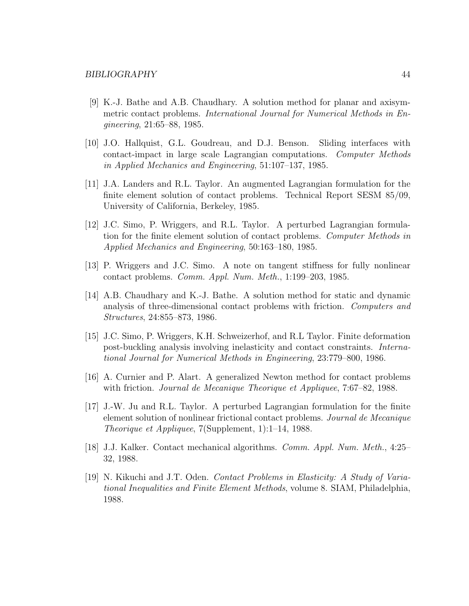- [9] K.-J. Bathe and A.B. Chaudhary. A solution method for planar and axisymmetric contact problems. International Journal for Numerical Methods in Engineering, 21:65–88, 1985.
- [10] J.O. Hallquist, G.L. Goudreau, and D.J. Benson. Sliding interfaces with contact-impact in large scale Lagrangian computations. Computer Methods in Applied Mechanics and Engineering, 51:107–137, 1985.
- [11] J.A. Landers and R.L. Taylor. An augmented Lagrangian formulation for the finite element solution of contact problems. Technical Report SESM 85/09, University of California, Berkeley, 1985.
- [12] J.C. Simo, P. Wriggers, and R.L. Taylor. A perturbed Lagrangian formulation for the finite element solution of contact problems. Computer Methods in Applied Mechanics and Engineering, 50:163–180, 1985.
- [13] P. Wriggers and J.C. Simo. A note on tangent stiffness for fully nonlinear contact problems. Comm. Appl. Num. Meth., 1:199–203, 1985.
- [14] A.B. Chaudhary and K.-J. Bathe. A solution method for static and dynamic analysis of three-dimensional contact problems with friction. Computers and Structures, 24:855–873, 1986.
- [15] J.C. Simo, P. Wriggers, K.H. Schweizerhof, and R.L Taylor. Finite deformation post-buckling analysis involving inelasticity and contact constraints. International Journal for Numerical Methods in Engineering, 23:779–800, 1986.
- [16] A. Curnier and P. Alart. A generalized Newton method for contact problems with friction. *Journal de Mecanique Theorique et Appliquee*, 7:67–82, 1988.
- [17] J.-W. Ju and R.L. Taylor. A perturbed Lagrangian formulation for the finite element solution of nonlinear frictional contact problems. Journal de Mecanique Theorique et Appliquee, 7(Supplement, 1):1–14, 1988.
- [18] J.J. Kalker. Contact mechanical algorithms. Comm. Appl. Num. Meth., 4:25– 32, 1988.
- [19] N. Kikuchi and J.T. Oden. Contact Problems in Elasticity: A Study of Variational Inequalities and Finite Element Methods, volume 8. SIAM, Philadelphia, 1988.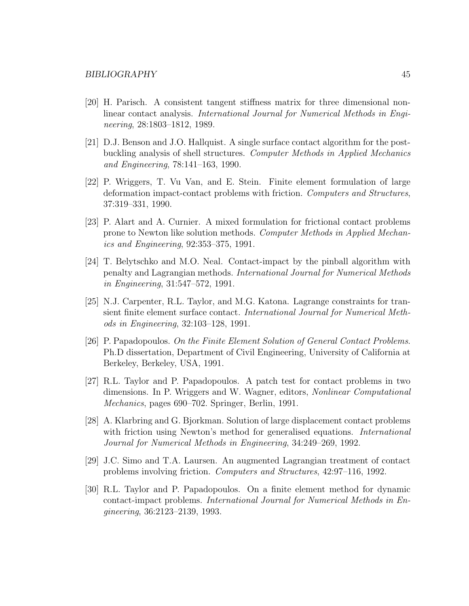- [20] H. Parisch. A consistent tangent stiffness matrix for three dimensional nonlinear contact analysis. International Journal for Numerical Methods in Engineering, 28:1803–1812, 1989.
- [21] D.J. Benson and J.O. Hallquist. A single surface contact algorithm for the postbuckling analysis of shell structures. Computer Methods in Applied Mechanics and Engineering, 78:141–163, 1990.
- [22] P. Wriggers, T. Vu Van, and E. Stein. Finite element formulation of large deformation impact-contact problems with friction. Computers and Structures, 37:319–331, 1990.
- [23] P. Alart and A. Curnier. A mixed formulation for frictional contact problems prone to Newton like solution methods. Computer Methods in Applied Mechanics and Engineering, 92:353–375, 1991.
- [24] T. Belytschko and M.O. Neal. Contact-impact by the pinball algorithm with penalty and Lagrangian methods. International Journal for Numerical Methods in Engineering, 31:547–572, 1991.
- [25] N.J. Carpenter, R.L. Taylor, and M.G. Katona. Lagrange constraints for transient finite element surface contact. International Journal for Numerical Methods in Engineering, 32:103–128, 1991.
- [26] P. Papadopoulos. On the Finite Element Solution of General Contact Problems. Ph.D dissertation, Department of Civil Engineering, University of California at Berkeley, Berkeley, USA, 1991.
- [27] R.L. Taylor and P. Papadopoulos. A patch test for contact problems in two dimensions. In P. Wriggers and W. Wagner, editors, Nonlinear Computational Mechanics, pages 690–702. Springer, Berlin, 1991.
- [28] A. Klarbring and G. Bjorkman. Solution of large displacement contact problems with friction using Newton's method for generalised equations. *International* Journal for Numerical Methods in Engineering, 34:249–269, 1992.
- [29] J.C. Simo and T.A. Laursen. An augmented Lagrangian treatment of contact problems involving friction. Computers and Structures, 42:97–116, 1992.
- [30] R.L. Taylor and P. Papadopoulos. On a finite element method for dynamic contact-impact problems. International Journal for Numerical Methods in Engineering, 36:2123–2139, 1993.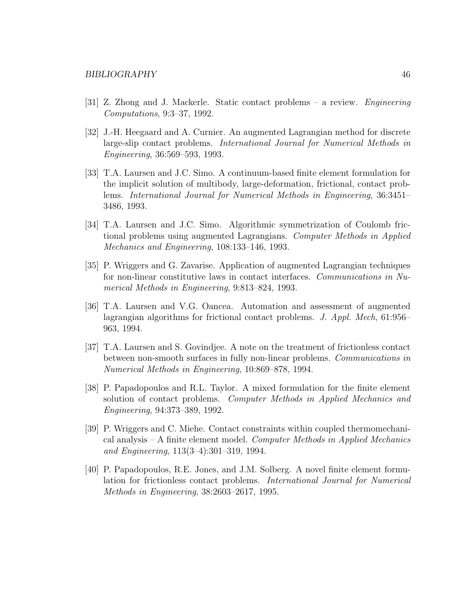- [31] Z. Zhong and J. Mackerle. Static contact problems a review. Engineering Computations, 9:3–37, 1992.
- [32] J.-H. Heegaard and A. Curnier. An augmented Lagrangian method for discrete large-slip contact problems. International Journal for Numerical Methods in Engineering, 36:569–593, 1993.
- [33] T.A. Laursen and J.C. Simo. A continuum-based finite element formulation for the implicit solution of multibody, large-deformation, frictional, contact problems. International Journal for Numerical Methods in Engineering, 36:3451– 3486, 1993.
- [34] T.A. Laursen and J.C. Simo. Algorithmic symmetrization of Coulomb frictional problems using augmented Lagrangians. Computer Methods in Applied Mechanics and Engineering, 108:133–146, 1993.
- [35] P. Wriggers and G. Zavarise. Application of augmented Lagrangian techniques for non-linear constitutive laws in contact interfaces. Communications in Numerical Methods in Engineering, 9:813–824, 1993.
- [36] T.A. Laursen and V.G. Oancea. Automation and assessment of augmented lagrangian algorithms for frictional contact problems. J. Appl. Mech, 61:956– 963, 1994.
- [37] T.A. Laursen and S. Govindjee. A note on the treatment of frictionless contact between non-smooth surfaces in fully non-linear problems. Communications in Numerical Methods in Engineering, 10:869–878, 1994.
- [38] P. Papadopoulos and R.L. Taylor. A mixed formulation for the finite element solution of contact problems. Computer Methods in Applied Mechanics and Engineering, 94:373–389, 1992.
- [39] P. Wriggers and C. Miehe. Contact constraints within coupled thermomechanical analysis – A finite element model. Computer Methods in Applied Mechanics and Engineering, 113(3–4):301–319, 1994.
- [40] P. Papadopoulos, R.E. Jones, and J.M. Solberg. A novel finite element formulation for frictionless contact problems. International Journal for Numerical Methods in Engineering, 38:2603–2617, 1995.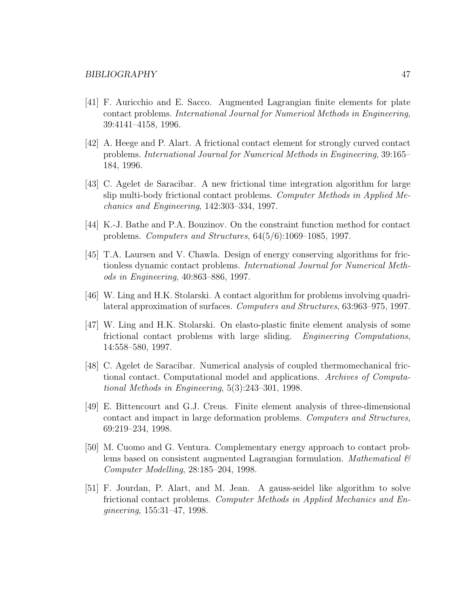- [41] F. Auricchio and E. Sacco. Augmented Lagrangian finite elements for plate contact problems. International Journal for Numerical Methods in Engineering, 39:4141–4158, 1996.
- [42] A. Heege and P. Alart. A frictional contact element for strongly curved contact problems. International Journal for Numerical Methods in Engineering, 39:165– 184, 1996.
- [43] C. Agelet de Saracibar. A new frictional time integration algorithm for large slip multi-body frictional contact problems. Computer Methods in Applied Mechanics and Engineering, 142:303–334, 1997.
- [44] K.-J. Bathe and P.A. Bouzinov. On the constraint function method for contact problems. Computers and Structures, 64(5/6):1069–1085, 1997.
- [45] T.A. Laursen and V. Chawla. Design of energy conserving algorithms for frictionless dynamic contact problems. International Journal for Numerical Methods in Engineering, 40:863–886, 1997.
- [46] W. Ling and H.K. Stolarski. A contact algorithm for problems involving quadrilateral approximation of surfaces. Computers and Structures, 63:963–975, 1997.
- [47] W. Ling and H.K. Stolarski. On elasto-plastic finite element analysis of some frictional contact problems with large sliding. Engineering Computations, 14:558–580, 1997.
- [48] C. Agelet de Saracibar. Numerical analysis of coupled thermomechanical frictional contact. Computational model and applications. Archives of Computational Methods in Engineering, 5(3):243–301, 1998.
- [49] E. Bittencourt and G.J. Creus. Finite element analysis of three-dimensional contact and impact in large deformation problems. Computers and Structures, 69:219–234, 1998.
- [50] M. Cuomo and G. Ventura. Complementary energy approach to contact problems based on consistent augmented Lagrangian formulation. *Mathematical*  $\mathcal{B}$ Computer Modelling, 28:185–204, 1998.
- [51] F. Jourdan, P. Alart, and M. Jean. A gauss-seidel like algorithm to solve frictional contact problems. Computer Methods in Applied Mechanics and Engineering, 155:31–47, 1998.